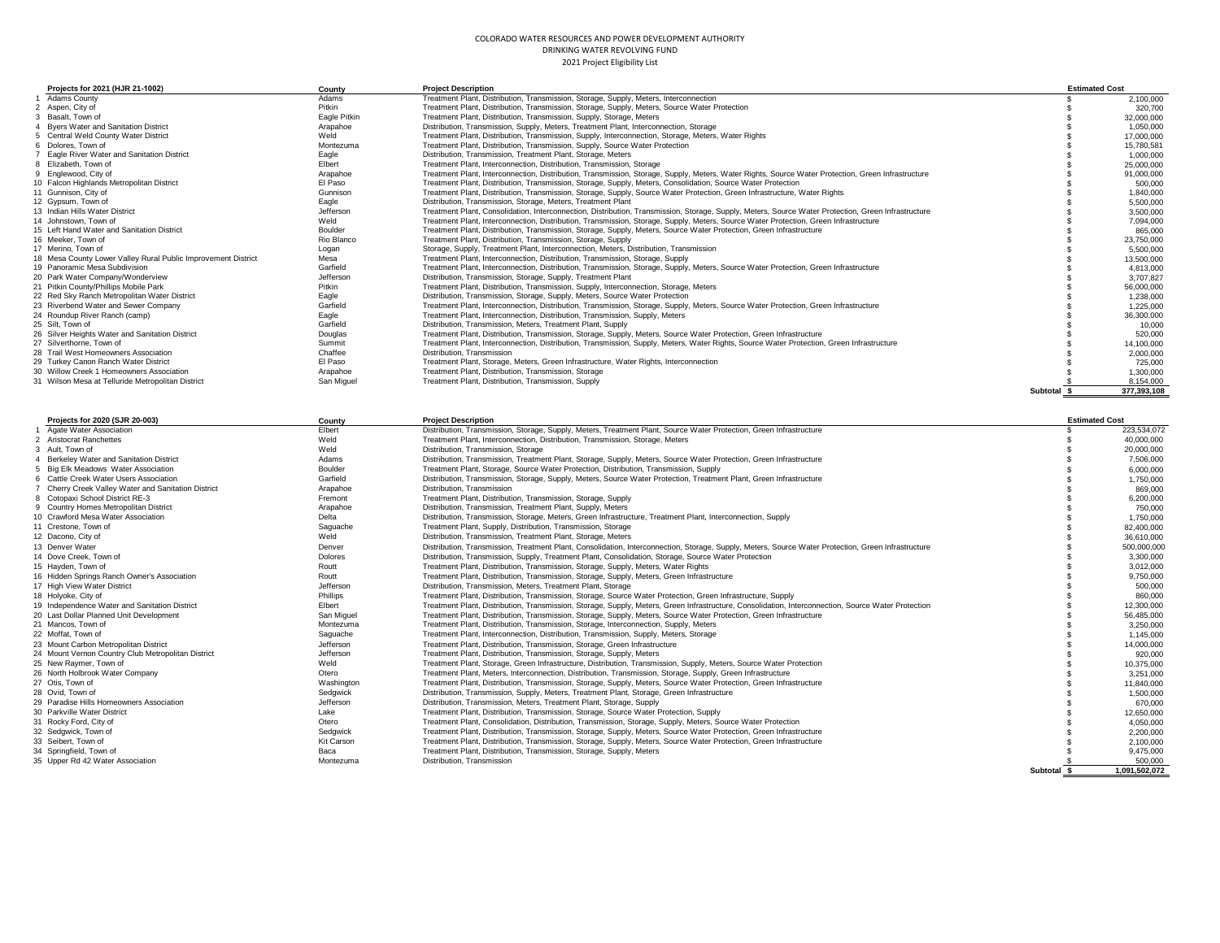| Projects for 2021 (HJR 21-1002)                               | County       | <b>Project Description</b>                                                                                                                          |          | <b>Estimated Cost</b> |
|---------------------------------------------------------------|--------------|-----------------------------------------------------------------------------------------------------------------------------------------------------|----------|-----------------------|
| 1 Adams County                                                | Adams        | Treatment Plant, Distribution, Transmission, Storage, Supply, Meters, Interconnection                                                               |          | 2,100,000             |
| 2 Aspen, City of                                              | Pitkin       | Treatment Plant, Distribution, Transmission, Storage, Supply, Meters, Source Water Protection                                                       |          | 320,700               |
| 3 Basalt, Town of                                             | Eagle Pitkin | Treatment Plant, Distribution, Transmission, Supply, Storage, Meters                                                                                |          | 32.000.000            |
| 4 Byers Water and Sanitation District                         | Arapahoe     | Distribution, Transmission, Supply, Meters, Treatment Plant, Interconnection, Storage                                                               |          | 1,050,000             |
| 5 Central Weld County Water District                          | Weld         | Treatment Plant, Distribution, Transmission, Supply, Interconnection, Storage, Meters, Water Rights                                                 |          | 17,000,000            |
| 6 Dolores, Town of                                            | Montezuma    | Treatment Plant, Distribution, Transmission, Supply, Source Water Protection                                                                        |          | 15.780.581            |
| Eagle River Water and Sanitation District                     | Eagle        | Distribution, Transmission, Treatment Plant, Storage, Meters                                                                                        |          | 1.000.000             |
| 8 Elizabeth, Town of                                          | Elbert       | Treatment Plant, Interconnection, Distribution, Transmission, Storage                                                                               |          | 25,000,000            |
| 9 Englewood, City of                                          | Arapahoe     | Treatment Plant, Interconnection, Distribution, Transmission, Storage, Supply, Meters, Water Rights, Source Water Protection, Green Infrastructure  |          | 91.000.000            |
| 10 Falcon Highlands Metropolitan District                     | El Paso      | Treatment Plant, Distribution, Transmission, Storage, Supply, Meters, Consolidation, Source Water Protection                                        |          | 500,000               |
| 11 Gunnison, City of                                          | Gunnison     | Treatment Plant, Distribution, Transmission, Storage, Supply, Source Water Protection, Green Infrastructure, Water Rights                           |          | 1.840.000             |
| 12 Gvpsum, Town of                                            | Eagle        | Distribution, Transmission, Storage, Meters, Treatment Plant                                                                                        |          | 5.500.000             |
| 13 Indian Hills Water District                                | Jefferson    | Treatment Plant, Consolidation, Interconnection, Distribution, Transmission, Storage, Supply, Meters, Source Water Protection, Green Infrastructure |          | 3,500,000             |
| 14 Johnstown, Town of                                         | Weld         | Treatment Plant, Interconnection, Distribution, Transmission, Storage, Supply, Meters, Source Water Protection, Green Infrastructure                |          | 7.094.000             |
| 15 Left Hand Water and Sanitation District                    | Boulder      | Treatment Plant, Distribution, Transmission, Storage, Supply, Meters, Source Water Protection, Green Infrastructure                                 |          | 865,000               |
| 16 Meeker, Town of                                            | Rio Blanco   | Treatment Plant, Distribution, Transmission, Storage, Supply                                                                                        |          | 23,750,000            |
| 17 Merino, Town of                                            | Logan        | Storage, Supply, Treatment Plant, Interconnection, Meters, Distribution, Transmission                                                               |          | 5,500,000             |
| 18 Mesa County Lower Valley Rural Public Improvement District | Mesa         | Treatment Plant, Interconnection, Distribution, Transmission, Storage, Supply                                                                       |          | 13,500,000            |
| 19 Panoramic Mesa Subdivision                                 | Garfield     | Treatment Plant, Interconnection, Distribution, Transmission, Storage, Supply, Meters, Source Water Protection, Green Infrastructure                |          | 4.813.000             |
| 20 Park Water Company/Wonderview                              | Jefferson    | Distribution, Transmission, Storage, Supply, Treatment Plant                                                                                        |          | 3.707.827             |
| 21 Pitkin County/Phillips Mobile Park                         | Pitkin       | Treatment Plant, Distribution, Transmission, Supply, Interconnection, Storage, Meters                                                               |          | 56,000,000            |
| 22 Red Sky Ranch Metropolitan Water District                  | Eagle        | Distribution, Transmission, Storage, Supply, Meters, Source Water Protection                                                                        |          | 1.238.000             |
| 23 Riverbend Water and Sewer Company                          | Garfield     | Treatment Plant, Interconnection, Distribution, Transmission, Storage, Supply, Meters, Source Water Protection, Green Infrastructure                |          | 1,225,000             |
| 24 Roundup River Ranch (camp)                                 | Eagle        | Treatment Plant, Interconnection, Distribution, Transmission, Supply, Meters                                                                        |          | 36.300.000            |
| 25 Silt. Town of                                              | Garfield     | Distribution, Transmission, Meters, Treatment Plant, Supply                                                                                         |          | 10,000                |
| 26 Silver Heights Water and Sanitation District               | Douglas      | Treatment Plant, Distribution, Transmission, Storage, Supply, Meters, Source Water Protection, Green Infrastructure                                 |          | 520.000               |
| 27 Silverthorne, Town of                                      | Summit       | Treatment Plant, Interconnection, Distribution, Transmission, Supply, Meters, Water Rights, Source Water Protection, Green Infrastructure           |          | 14.100.000            |
| 28 Trail West Homeowners Association                          | Chaffee      | Distribution. Transmission                                                                                                                          |          | 2.000.000             |
| 29 Turkey Canon Ranch Water District                          | El Paso      | Treatment Plant, Storage, Meters, Green Infrastructure, Water Rights, Interconnection                                                               |          | 725,000               |
| 30 Willow Creek 1 Homeowners Association                      | Arapahoe     | Treatment Plant, Distribution, Transmission, Storage                                                                                                |          | 1,300,000             |
| 31 Wilson Mesa at Telluride Metropolitan District             | San Miguel   | Treatment Plant, Distribution, Transmission, Supply                                                                                                 |          | 8.154.000             |
|                                                               |              |                                                                                                                                                     | Subtotal | 377.393.108           |

| Projects for 2020 (SJR 20-003)                      | County     | <b>Project Description</b>                                                                                                                          |             | <b>Estimated Cost</b> |
|-----------------------------------------------------|------------|-----------------------------------------------------------------------------------------------------------------------------------------------------|-------------|-----------------------|
| Agate Water Association                             | Elbert     | Distribution, Transmission, Storage, Supply, Meters, Treatment Plant, Source Water Protection, Green Infrastructure                                 |             | 223.534.072           |
| 2 Aristocrat Ranchettes                             | Weld       | Treatment Plant, Interconnection, Distribution, Transmission, Storage, Meters                                                                       |             | 40,000,000            |
| 3 Ault. Town of                                     | Weld       | Distribution, Transmission, Storage                                                                                                                 |             | 20,000,000            |
| 4 Berkelev Water and Sanitation District            | Adams      | Distribution, Transmission, Treatment Plant, Storage, Supply, Meters, Source Water Protection, Green Infrastructure                                 |             | 7.506.000             |
| 5 Big Elk Meadows Water Association                 | Boulder    | Treatment Plant, Storage, Source Water Protection, Distribution, Transmission, Supply                                                               |             | 6,000,000             |
| 6 Cattle Creek Water Users Association              | Garfield   | Distribution, Transmission, Storage, Supply, Meters, Source Water Protection, Treatment Plant, Green Infrastructure                                 |             | 1,750,000             |
| 7 Cherry Creek Valley Water and Sanitation District | Arapahoe   | Distribution. Transmission                                                                                                                          |             | 869,000               |
| 8 Cotopaxi School District RE-3                     | Fremont    | Treatment Plant, Distribution, Transmission, Storage, Supply                                                                                        |             | 6.200.000             |
| 9 Country Homes Metropolitan District               | Arapahoe   | Distribution, Transmission, Treatment Plant, Supply, Meters                                                                                         |             | 750,000               |
| 10 Crawford Mesa Water Association                  | Delta      | Distribution, Transmission, Storage, Meters, Green Infrastructure, Treatment Plant, Interconnection, Supply                                         |             | 1.750.000             |
| 11 Crestone, Town of                                | Saguache   | Treatment Plant, Supply, Distribution, Transmission, Storage                                                                                        |             | 82,400,000            |
| 12 Dacono, City of                                  | Weld       | Distribution, Transmission, Treatment Plant, Storage, Meters                                                                                        |             | 36,610,000            |
| 13 Denver Water                                     | Denver     | Distribution, Transmission, Treatment Plant, Consolidation, Interconnection, Storage, Supply, Meters, Source Water Protection, Green Infrastructure |             | 500.000.000           |
| 14 Dove Creek, Town of                              | Dolores    | Distribution, Transmission, Supply, Treatment Plant, Consolidation, Storage, Source Water Protection                                                |             | 3,300,000             |
| 15 Hayden, Town of                                  | Routt      | Treatment Plant, Distribution, Transmission, Storage, Supply, Meters, Water Rights                                                                  |             | 3.012.000             |
| 16 Hidden Springs Ranch Owner's Association         | Routt      | Treatment Plant, Distribution, Transmission, Storage, Supply, Meters, Green Infrastructure                                                          |             | 9,750,000             |
| 17 High View Water District                         | Jefferson  | Distribution, Transmission, Meters, Treatment Plant, Storage                                                                                        |             | 500,000               |
| 18 Holyoke, City of                                 | Phillips   | Treatment Plant, Distribution, Transmission, Storage, Source Water Protection, Green Infrastructure, Supply                                         |             | 860,000               |
| 19 Independence Water and Sanitation District       | Elbert     | Treatment Plant, Distribution, Transmission, Storage, Supply, Meters, Green Infrastructure, Consolidation, Interconnection, Source Water Protection |             | 12,300,000            |
| 20 Last Dollar Planned Unit Development             | San Miguel | Treatment Plant, Distribution, Transmission, Storage, Supply, Meters, Source Water Protection, Green Infrastructure                                 |             | 56,485,000            |
| 21 Mancos, Town of                                  | Montezuma  | Treatment Plant, Distribution, Transmission, Storage, Interconnection, Supply, Meters                                                               |             | 3,250,000             |
| 22 Moffat, Town of                                  | Saguache   | Treatment Plant, Interconnection, Distribution, Transmission, Supply, Meters, Storage                                                               |             | 1,145,000             |
| 23 Mount Carbon Metropolitan District               | Jefferson  | Treatment Plant, Distribution, Transmission, Storage, Green Infrastructure                                                                          |             | 14.000.000            |
| 24 Mount Vernon Country Club Metropolitan District  | Jefferson  | Treatment Plant, Distribution, Transmission, Storage, Supply, Meters                                                                                |             | 920,000               |
| 25 New Ravmer, Town of                              | Weld       | Treatment Plant, Storage, Green Infrastructure, Distribution, Transmission, Supply, Meters, Source Water Protection                                 |             | 10,375,000            |
| 26 North Holbrook Water Company                     | Otero      | Treatment Plant, Meters, Interconnection, Distribution, Transmission, Storage, Supply, Green Infrastructure                                         |             | 3,251,000             |
| 27 Otis, Town of                                    | Washington | Treatment Plant, Distribution, Transmission, Storage, Supply, Meters, Source Water Protection, Green Infrastructure                                 |             | 11,840,000            |
| 28 Ovid. Town of                                    | Sedgwick   | Distribution, Transmission, Supply, Meters, Treatment Plant, Storage, Green Infrastructure                                                          |             | 1,500,000             |
| 29 Paradise Hills Homeowners Association            | Jefferson  | Distribution, Transmission, Meters, Treatment Plant, Storage, Supply                                                                                |             | 670,000               |
| 30 Parkville Water District                         | Lake       | Treatment Plant, Distribution, Transmission, Storage, Source Water Protection, Supply                                                               |             | 12.650.000            |
| 31 Rocky Ford, City of                              | Otero      | Treatment Plant, Consolidation, Distribution, Transmission, Storage, Supply, Meters, Source Water Protection                                        |             | 4.050.000             |
| 32 Sedgwick, Town of                                | Sedawick   | Treatment Plant, Distribution, Transmission, Storage, Supply, Meters, Source Water Protection, Green Infrastructure                                 |             | 2,200,000             |
| 33 Seibert. Town of                                 | Kit Carson | Treatment Plant, Distribution, Transmission, Storage, Supply, Meters, Source Water Protection, Green Infrastructure                                 |             | 2,100,000             |
| 34 Springfield, Town of                             | Baca       | Treatment Plant, Distribution, Transmission, Storage, Supply, Meters                                                                                |             | 9.475.000             |
| 35 Upper Rd 42 Water Association                    | Montezuma  | Distribution, Transmission                                                                                                                          |             | 500,000               |
|                                                     |            |                                                                                                                                                     | Subtotal \$ | 1.091.502.072         |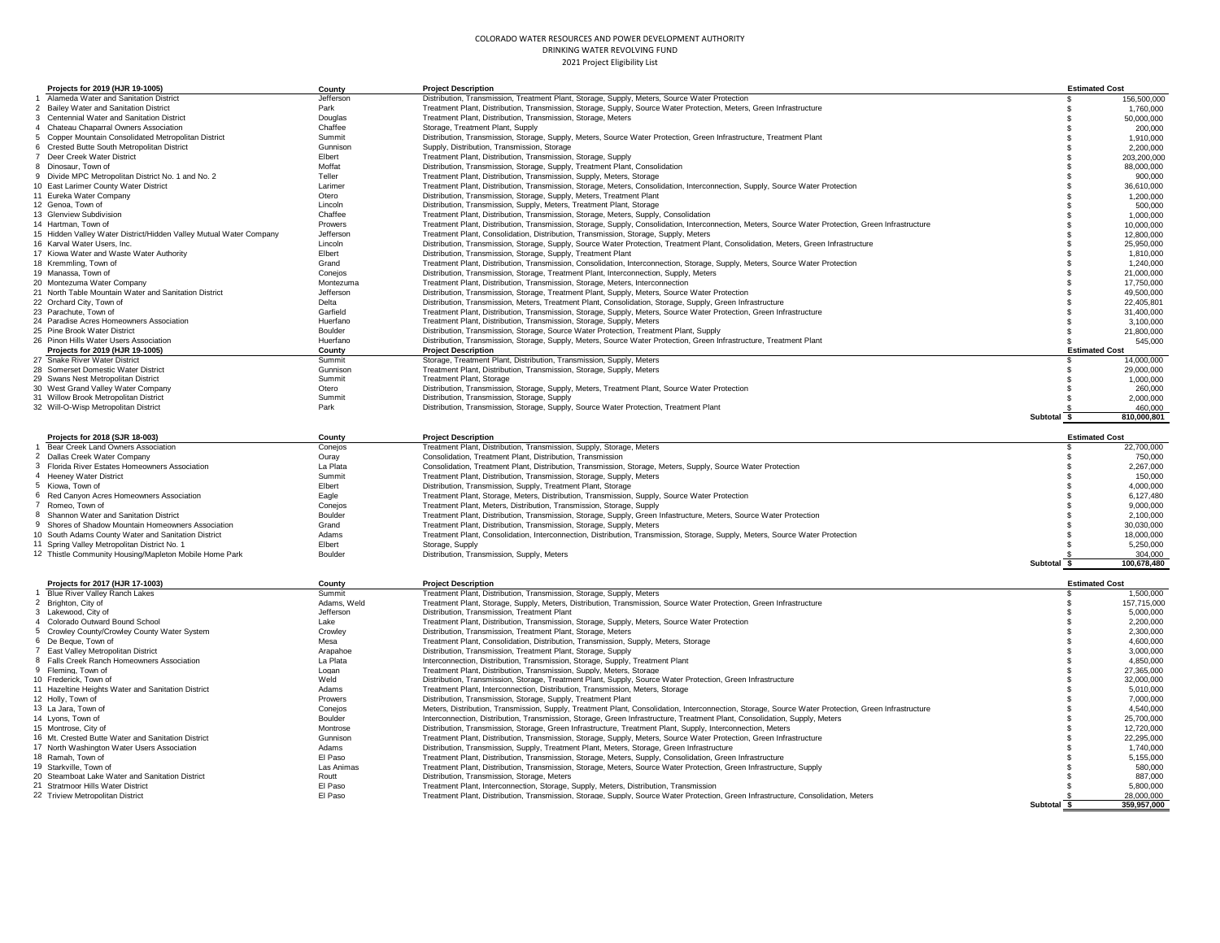| Projects for 2019 (HJR 19-1005)                                               | County                | <b>Project Description</b>                                                                                                                                                                                                  |                  | <b>Estimated Cost</b>    |
|-------------------------------------------------------------------------------|-----------------------|-----------------------------------------------------------------------------------------------------------------------------------------------------------------------------------------------------------------------------|------------------|--------------------------|
| 1 Alameda Water and Sanitation District                                       | Jefferson             | Distribution, Transmission, Treatment Plant, Storage, Supply, Meters, Source Water Protection                                                                                                                               | -S               | 156,500,000              |
| 2 Bailey Water and Sanitation District                                        | Park                  | Treatment Plant, Distribution, Transmission, Storage, Supply, Source Water Protection, Meters, Green Infrastructure                                                                                                         |                  | 1,760,000                |
| 3 Centennial Water and Sanitation District                                    | Douglas               | Treatment Plant, Distribution, Transmission, Storage, Meters                                                                                                                                                                | -8               | 50,000,000               |
| 4 Chateau Chaparral Owners Association                                        | Chaffee               | Storage, Treatment Plant, Supply                                                                                                                                                                                            | - C              | 200,000                  |
| 5 Copper Mountain Consolidated Metropolitan District                          | Summit                | Distribution, Transmission, Storage, Supply, Meters, Source Water Protection, Green Infrastructure, Treatment Plant                                                                                                         |                  | 1,910,000                |
| 6 Crested Butte South Metropolitan District                                   | Gunnison              | Supply, Distribution, Transmission, Storage                                                                                                                                                                                 |                  | 2,200,000                |
| 7 Deer Creek Water District                                                   | Elbert                | Treatment Plant, Distribution, Transmission, Storage, Supply                                                                                                                                                                |                  | 203,200,000              |
| 8 Dinosaur, Town of                                                           | Moffat                | Distribution, Transmission, Storage, Supply, Treatment Plant, Consolidation                                                                                                                                                 |                  | 88,000,000               |
| 9 Divide MPC Metropolitan District No. 1 and No. 2                            | Teller                | Treatment Plant, Distribution, Transmission, Supply, Meters, Storage                                                                                                                                                        |                  | 900,000                  |
| 10 East Larimer County Water District                                         | Larimer<br>Otero      | Treatment Plant, Distribution, Transmission, Storage, Meters, Consolidation, Interconnection, Supply, Source Water Protection                                                                                               |                  | 36,610,000               |
| 11 Eureka Water Company<br>12 Genoa, Town of                                  | Lincoln               | Distribution, Transmission, Storage, Supply, Meters, Treatment Plant                                                                                                                                                        |                  | 1,200,000                |
| 13 Glenview Subdivision                                                       | Chaffee               | Distribution, Transmission, Supply, Meters, Treatment Plant, Storage<br>Treatment Plant, Distribution, Transmission, Storage, Meters, Supply, Consolidation                                                                 |                  | 500,000<br>1,000,000     |
| 14 Hartman, Town of                                                           | Prowers               | Treatment Plant, Distribution, Transmission, Storage, Supply, Consolidation, Interconnection, Meters, Source Water Protection, Green Infrastructure                                                                         |                  | 10,000,000               |
| 15 Hidden Valley Water District/Hidden Valley Mutual Water Company            | Jefferson             | Treatment Plant, Consolidation, Distribution, Transmission, Storage, Supply, Meters                                                                                                                                         |                  | 12,800,000               |
| 16 Karval Water Users, Inc.                                                   | Lincoln               | Distribution, Transmission, Storage, Supply, Source Water Protection, Treatment Plant, Consolidation, Meters, Green Infrastructure                                                                                          |                  | 25,950,000               |
| 17 Kiowa Water and Waste Water Authority                                      | Elbert                | Distribution, Transmission, Storage, Supply, Treatment Plant                                                                                                                                                                |                  | 1.810.000                |
| 18 Kremmling, Town of                                                         | Grand                 | Treatment Plant, Distribution, Transmission, Consolidation, Interconnection, Storage, Supply, Meters, Source Water Protection                                                                                               |                  | 1,240,000                |
| 19 Manassa, Town of                                                           | Conejos               | Distribution, Transmission, Storage, Treatment Plant, Interconnection, Supply, Meters                                                                                                                                       |                  | 21,000,000               |
| 20 Montezuma Water Company                                                    | Montezuma             | Treatment Plant, Distribution, Transmission, Storage, Meters, Interconnection                                                                                                                                               |                  | 17,750,000               |
| 21 North Table Mountain Water and Sanitation District                         | Jefferson             | Distribution, Transmission, Storage, Treatment Plant, Supply, Meters, Source Water Protection                                                                                                                               |                  | 49,500,000               |
| 22 Orchard City, Town of                                                      | Delta                 | Distribution, Transmission, Meters, Treatment Plant, Consolidation, Storage, Supply, Green Infrastructure                                                                                                                   |                  | 22.405.801               |
| 23 Parachute, Town of                                                         | Garfield              | Treatment Plant, Distribution, Transmission, Storage, Supply, Meters, Source Water Protection, Green Infrastructure                                                                                                         |                  | 31,400,000               |
| 24 Paradise Acres Homeowners Association                                      | Huerfano              | Treatment Plant, Distribution, Transmission, Storage, Supply, Meters                                                                                                                                                        |                  | 3,100,000                |
| 25 Pine Brook Water District                                                  | Boulder               | Distribution, Transmission, Storage, Source Water Protection, Treatment Plant, Supply                                                                                                                                       |                  | 21,800,000               |
| 26 Pinon Hills Water Users Association                                        | Huerfano              | Distribution, Transmission, Storage, Supply, Meters, Source Water Protection, Green Infrastructure, Treatment Plant                                                                                                         |                  | 545,000                  |
| Projects for 2019 (HJR 19-1005)                                               | County                | <b>Project Description</b>                                                                                                                                                                                                  |                  | <b>Estimated Cost</b>    |
| 27 Snake River Water District                                                 | Summit                | Storage, Treatment Plant, Distribution, Transmission, Supply, Meters                                                                                                                                                        |                  | 14,000,000               |
| 28 Somerset Domestic Water District                                           | Gunnison              | Treatment Plant, Distribution, Transmission, Storage, Supply, Meters                                                                                                                                                        |                  | 29,000,000               |
| 29 Swans Nest Metropolitan District                                           | Summit                | Treatment Plant, Storage                                                                                                                                                                                                    |                  | 1,000,000                |
| 30 West Grand Valley Water Company                                            | Otero                 | Distribution, Transmission, Storage, Supply, Meters, Treatment Plant, Source Water Protection                                                                                                                               |                  | 260,000                  |
| 31 Willow Brook Metropolitan District<br>32 Will-O-Wisp Metropolitan District | Summit<br>Park        | Distribution, Transmission, Storage, Supply<br>Distribution, Transmission, Storage, Supply, Source Water Protection, Treatment Plant                                                                                        |                  | 2,000,000<br>460,000     |
|                                                                               |                       |                                                                                                                                                                                                                             | Subtotal<br>- \$ | 810,000,801              |
|                                                                               |                       |                                                                                                                                                                                                                             |                  |                          |
| Projects for 2018 (SJR 18-003)                                                | County                | <b>Project Description</b>                                                                                                                                                                                                  |                  | <b>Estimated Cost</b>    |
|                                                                               |                       |                                                                                                                                                                                                                             |                  |                          |
| 1 Bear Creek Land Owners Association                                          | Coneios               | Treatment Plant, Distribution, Transmission, Supply, Storage, Meters                                                                                                                                                        |                  | 22,700,000               |
| 2 Dallas Creek Water Company                                                  | Ouray                 | Consolidation, Treatment Plant, Distribution, Transmission                                                                                                                                                                  |                  | 750,000                  |
| 3 Florida River Estates Homeowners Association                                | La Plata              | Consolidation, Treatment Plant, Distribution, Transmission, Storage, Meters, Supply, Source Water Protection                                                                                                                |                  | 2,267,000                |
| 4 Heeney Water District                                                       | Summit                | Treatment Plant, Distribution, Transmission, Storage, Supply, Meters                                                                                                                                                        |                  | 150,000                  |
| 5 Kiowa. Town of                                                              | Elbert                | Distribution, Transmission, Supply, Treatment Plant, Storage                                                                                                                                                                |                  | 4,000,000                |
| 6 Red Canyon Acres Homeowners Association                                     | Eagle                 | Treatment Plant, Storage, Meters, Distribution, Transmission, Supply, Source Water Protection                                                                                                                               |                  | 6,127,480                |
| 7 Romeo, Town of                                                              | Conejos               | Treatment Plant, Meters, Distribution, Transmission, Storage, Supply                                                                                                                                                        |                  | 9,000,000                |
| 8 Shannon Water and Sanitation District                                       | Boulder               | Treatment Plant, Distribution, Transmission, Storage, Supply, Green Infastructure, Meters, Source Water Protection                                                                                                          |                  | 2,100,000                |
| 9 Shores of Shadow Mountain Homeowners Association                            | Grand                 | Treatment Plant, Distribution, Transmission, Storage, Supply, Meters                                                                                                                                                        |                  | 30,030,000               |
| 10 South Adams County Water and Sanitation District                           | Adams                 | Treatment Plant, Consolidation, Interconnection, Distribution, Transmission, Storage, Supply, Meters, Source Water Protection                                                                                               |                  | 18,000,000               |
| 11 Spring Valley Metropolitan District No. 1                                  | Flhert                | Storage, Supply                                                                                                                                                                                                             |                  | 5,250,000                |
| 12 Thistle Community Housing/Mapleton Mobile Home Park                        | Boulder               | Distribution, Transmission, Supply, Meters                                                                                                                                                                                  |                  | 304.000                  |
|                                                                               |                       |                                                                                                                                                                                                                             | Subtotal \$      | 100.678.480              |
|                                                                               |                       |                                                                                                                                                                                                                             |                  |                          |
| Projects for 2017 (HJR 17-1003)                                               | County                | <b>Project Description</b>                                                                                                                                                                                                  |                  | <b>Estimated Cost</b>    |
| 1 Blue River Valley Ranch Lakes                                               | Summit<br>Adams, Weld | Treatment Plant, Distribution, Transmission, Storage, Supply, Meters                                                                                                                                                        |                  | 1,500,000                |
| 2 Brighton, City of<br>3 Lakewood, City of                                    | Jefferson             | Treatment Plant, Storage, Supply, Meters, Distribution, Transmission, Source Water Protection, Green Infrastructure<br>Distribution, Transmission, Treatment Plant                                                          |                  | 157,715,000<br>5,000,000 |
| 4 Colorado Outward Bound School                                               | Lake                  | Treatment Plant, Distribution, Transmission, Storage, Supply, Meters, Source Water Protection                                                                                                                               |                  | 2,200,000                |
| 5 Crowley County/Crowley County Water System                                  | Crowley               | Distribution, Transmission, Treatment Plant, Storage, Meters                                                                                                                                                                |                  | 2,300,000                |
| 6 De Beaue, Town of                                                           | Mesa                  | Treatment Plant, Consolidation, Distribution, Transmission, Supply, Meters, Storage                                                                                                                                         |                  | 4.600.000                |
| 7 East Valley Metropolitan District                                           | Arapahoe              | Distribution, Transmission, Treatment Plant, Storage, Supply                                                                                                                                                                |                  | 3.000.000                |
| 8 Falls Creek Ranch Homeowners Association                                    | La Plata              | Interconnection, Distribution, Transmission, Storage, Supply, Treatment Plant                                                                                                                                               |                  | 4.850.000                |
| 9 Fleming, Town of                                                            | Logan                 | Treatment Plant, Distribution, Transmission, Supply, Meters, Storage                                                                                                                                                        |                  | 27,365,000               |
| 10 Frederick, Town of                                                         | Weld                  | Distribution, Transmission, Storage, Treatment Plant, Supply, Source Water Protection, Green Infrastructure                                                                                                                 |                  | 32,000,000               |
| 11 Hazeltine Heights Water and Sanitation District                            | Adams                 | Treatment Plant, Interconnection, Distribution, Transmission, Meters, Storage                                                                                                                                               |                  | 5,010,000                |
| 12 Holly, Town of                                                             | Prowers               | Distribution, Transmission, Storage, Supply, Treatment Plant                                                                                                                                                                |                  | 7,000,000                |
| 13 La Jara, Town of                                                           | Conejos               | Meters, Distribution, Transmission, Supply, Treatment Plant, Consolidation, Interconnection, Storage, Source Water Protection, Green Infrastructure                                                                         |                  | 4,540,000                |
| 14 Lyons, Town of                                                             | Boulder               | Interconnection, Distribution, Transmission, Storage, Green Infrastructure, Treatment Plant, Consolidation, Supply, Meters                                                                                                  |                  | 25,700,000               |
| 15 Montrose, City of                                                          | Montrose              | Distribution, Transmission, Storage, Green Infrastructure, Treatment Plant, Supply, Interconnection, Meters                                                                                                                 |                  | 12,720,000               |
| 16 Mt. Crested Butte Water and Sanitation District                            | Gunnison              | Treatment Plant, Distribution, Transmission, Storage, Supply, Meters, Source Water Protection, Green Infrastructure                                                                                                         |                  | 22,295,000               |
| 17 North Washington Water Users Association                                   | Adams                 | Distribution, Transmission, Supply, Treatment Plant, Meters, Storage, Green Infrastructure                                                                                                                                  |                  | 1,740,000                |
| 18 Ramah, Town of                                                             | El Paso               | Treatment Plant, Distribution, Transmission, Storage, Meters, Supply, Consolidation, Green Infrastructure                                                                                                                   |                  | 5,155,000                |
| 19 Starkville, Town of                                                        | Las Animas            | Treatment Plant, Distribution, Transmission, Storage, Meters, Source Water Protection, Green Infrastructure, Supply                                                                                                         |                  | 580,000                  |
| 20 Steamboat Lake Water and Sanitation District                               | Routt                 | Distribution, Transmission, Storage, Meters                                                                                                                                                                                 |                  | 887,000                  |
| 21 Stratmoor Hills Water District<br>22 Triview Metropolitan District         | El Paso<br>El Paso    | Treatment Plant, Interconnection, Storage, Supply, Meters, Distribution, Transmission<br>Treatment Plant, Distribution, Transmission, Storage, Supply, Source Water Protection, Green Infrastructure, Consolidation, Meters |                  | 5,800,000<br>28,000,000  |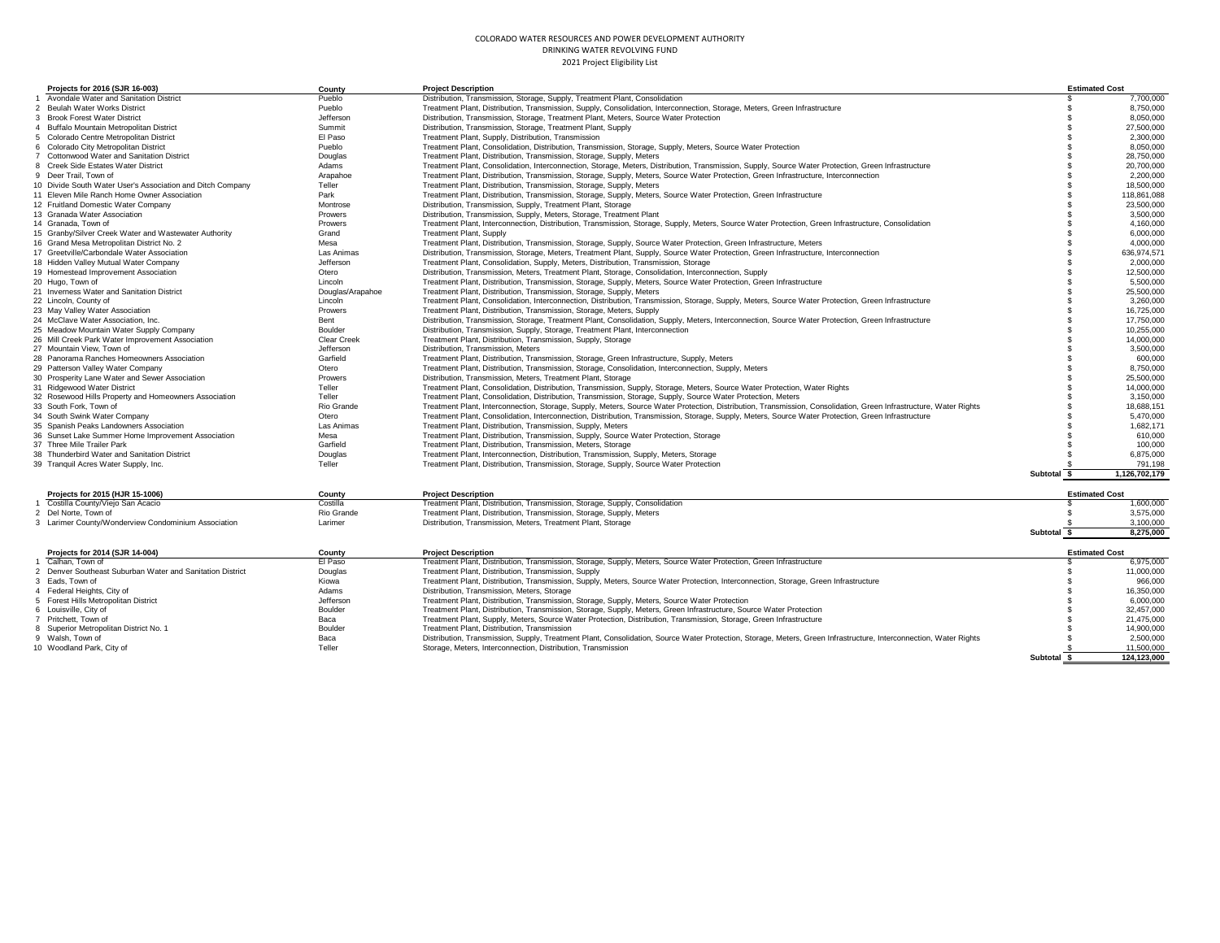| Projects for 2016 (SJR 16-003)                             | County           | <b>Project Description</b>                                                                                                                                        |                        | <b>Estimated Cost</b> |
|------------------------------------------------------------|------------------|-------------------------------------------------------------------------------------------------------------------------------------------------------------------|------------------------|-----------------------|
| 1 Avondale Water and Sanitation District                   | Pueblo           | Distribution, Transmission, Storage, Supply, Treatment Plant, Consolidation                                                                                       |                        | 7,700,000             |
| 2 Beulah Water Works District                              | Pueblo           | Treatment Plant, Distribution, Transmission, Supply, Consolidation, Interconnection, Storage, Meters, Green Infrastructure                                        |                        | 8,750,000             |
| 3 Brook Forest Water District                              | Jefferson        | Distribution, Transmission, Storage, Treatment Plant, Meters, Source Water Protection                                                                             |                        | 8,050,000             |
| 4 Buffalo Mountain Metropolitan District                   | Summit           | Distribution, Transmission, Storage, Treatment Plant, Supply                                                                                                      |                        | 27,500,000            |
| 5 Colorado Centre Metropolitan District                    | El Paso          | Treatment Plant, Supply, Distribution, Transmission                                                                                                               |                        | 2.300.000             |
| 6 Colorado City Metropolitan District                      | Pueblo           | Treatment Plant, Consolidation, Distribution, Transmission, Storage, Supply, Meters, Source Water Protection                                                      |                        | 8,050,000             |
| Cottonwood Water and Sanitation District                   | Douglas          | Treatment Plant, Distribution, Transmission, Storage, Supply, Meters                                                                                              |                        | 28,750,000            |
| 8 Creek Side Estates Water District                        | Adams            | Treatment Plant, Consolidation, Interconnection, Storage, Meters, Distribution, Transmission, Supply, Source Water Protection, Green Infrastructure               |                        | 20,700,000            |
| 9 Deer Trail, Town of                                      | Arapahoe         | Treatment Plant, Distribution, Transmission, Storage, Supply, Meters, Source Water Protection, Green Infrastructure, Interconnection                              |                        | 2.200.000             |
| 10 Divide South Water User's Association and Ditch Company | Teller           | Treatment Plant, Distribution, Transmission, Storage, Supply, Meters                                                                                              |                        | 18,500,000            |
| 11 Eleven Mile Ranch Home Owner Association                | Park             | Treatment Plant, Distribution, Transmission, Storage, Supply, Meters, Source Water Protection, Green Infrastructure                                               |                        | 118.861.088           |
| 12 Fruitland Domestic Water Company                        | Montrose         | Distribution, Transmission, Supply, Treatment Plant, Storage                                                                                                      |                        | 23,500,000            |
| 13 Granada Water Association                               | Prowers          | Distribution, Transmission, Supply, Meters, Storage, Treatment Plant                                                                                              |                        | 3.500.000             |
| 14 Granada, Town of                                        | Prowers          | Treatment Plant, Interconnection, Distribution, Transmission, Storage, Supply, Meters, Source Water Protection, Green Infrastructure, Consolidation               |                        | 4.160.000             |
| 15 Granby/Silver Creek Water and Wastewater Authority      | Grand            | <b>Treatment Plant, Supply</b>                                                                                                                                    |                        | 6.000.000             |
| 16 Grand Mesa Metropolitan District No. 2                  | Mesa             | Treatment Plant, Distribution, Transmission, Storage, Supply, Source Water Protection, Green Infrastructure, Meters                                               |                        | 4,000,000             |
| 17 Greetville/Carbondale Water Association                 | Las Animas       | Distribution, Transmission, Storage, Meters, Treatment Plant, Supply, Source Water Protection, Green Infrastructure, Interconnection                              |                        | 636,974,571           |
| 18 Hidden Valley Mutual Water Company                      | Jefferson        | Treatment Plant, Consolidation, Supply, Meters, Distribution, Transmission, Storage                                                                               |                        | 2.000.000             |
| 19 Homestead Improvement Association                       | Otero            | Distribution, Transmission, Meters, Treatment Plant, Storage, Consolidation, Interconnection, Supply                                                              |                        | 12,500,000            |
| 20 Hugo, Town of                                           | Lincoln          | Treatment Plant, Distribution, Transmission, Storage, Supply, Meters, Source Water Protection, Green Infrastructure                                               |                        | 5.500.000             |
| 21 Inverness Water and Sanitation District                 | Douglas/Arapahoe | Treatment Plant, Distribution, Transmission, Storage, Supply, Meters                                                                                              |                        | 25,500,000            |
| 22 Lincoln, County of                                      | Lincoln          | Treatment Plant, Consolidation, Interconnection, Distribution, Transmission, Storage, Supply, Meters, Source Water Protection, Green Infrastructure               |                        | 3.260.000             |
| 23 May Valley Water Association                            | Prowers          | Treatment Plant, Distribution, Transmission, Storage, Meters, Supply                                                                                              |                        | 16,725,000            |
| 24 McClave Water Association, Inc.                         | Bent             | Distribution, Transmission, Storage, Treatment Plant, Consolidation, Supply, Meters, Interconnection, Source Water Protection, Green Infrastructure               |                        | 17.750.000            |
| 25 Meadow Mountain Water Supply Company                    | Boulder          | Distribution, Transmission, Supply, Storage, Treatment Plant, Interconnection                                                                                     |                        | 10.255.000            |
| 26 Mill Creek Park Water Improvement Association           | Clear Creek      | Treatment Plant, Distribution, Transmission, Supply, Storage                                                                                                      |                        | 14,000,000            |
| 27 Mountain View, Town of                                  | Jefferson        | Distribution, Transmission, Meters                                                                                                                                |                        | 3.500.000             |
| 28 Panorama Ranches Homeowners Association                 | Garfield         | Treatment Plant, Distribution, Transmission, Storage, Green Infrastructure, Supply, Meters                                                                        |                        | 600,000               |
| 29 Patterson Valley Water Company                          | Otero            | Treatment Plant, Distribution, Transmission, Storage, Consolidation, Interconnection, Supply, Meters                                                              |                        | 8,750,000             |
| 30 Prosperity Lane Water and Sewer Association             | Prowers          | Distribution, Transmission, Meters, Treatment Plant, Storage                                                                                                      |                        | 25,500,000            |
| 31 Ridgewood Water District                                | Teller           | Treatment Plant, Consolidation, Distribution, Transmission, Supply, Storage, Meters, Source Water Protection, Water Rights                                        |                        | 14,000,000            |
| 32 Rosewood Hills Property and Homeowners Association      | Teller           | Treatment Plant, Consolidation, Distribution, Transmission, Storage, Supply, Source Water Protection, Meters                                                      |                        | 3.150.000             |
| 33 South Fork, Town of                                     | Rio Grande       | Treatment Plant, Interconnection, Storage, Supply, Meters, Source Water Protection, Distribution, Transmission, Consolidation, Green Infrastructure, Water Rights |                        | 18.688.151            |
| 34 South Swink Water Company                               | Otero            | Treatment Plant, Consolidation, Interconnection, Distribution, Transmission, Storage, Supply, Meters, Source Water Protection, Green Infrastructure               |                        | 5.470.000             |
| 35 Spanish Peaks Landowners Association                    | Las Animas       | Treatment Plant, Distribution, Transmission, Supply, Meters                                                                                                       |                        | 1.682.171             |
| 36 Sunset Lake Summer Home Improvement Association         | Mesa             | Treatment Plant, Distribution, Transmission, Supply, Source Water Protection, Storage                                                                             |                        | 610,000               |
| 37 Three Mile Trailer Park                                 | Garfield         | Treatment Plant, Distribution, Transmission, Meters, Storage                                                                                                      |                        | 100,000               |
| 38 Thunderbird Water and Sanitation District               | Douglas          | Treatment Plant, Interconnection, Distribution, Transmission, Supply, Meters, Storage                                                                             |                        | 6,875,000             |
| 39 Tranquil Acres Water Supply, Inc.                       | Teller           | Treatment Plant, Distribution, Transmission, Storage, Supply, Source Water Protection                                                                             |                        | 791.198               |
|                                                            |                  |                                                                                                                                                                   | <b>Subtotal</b><br>- 5 | 1.126.702.179         |
| Projects for 2015 (HJR 15-1006)                            | County           | <b>Project Description</b>                                                                                                                                        |                        | <b>Estimated Cost</b> |
| 1 Costilla County/Viejo San Acacio                         | Costilla         | Treatment Plant, Distribution, Transmission, Storage, Supply, Consolidation                                                                                       |                        | 1.600.000             |
| 2 Del Norte, Town of                                       | Rio Grande       | Treatment Plant, Distribution, Transmission, Storage, Supply, Meters                                                                                              |                        | 3.575.000             |
| 3 Larimer County/Wonderview Condominium Association        | Larimer          | Distribution, Transmission, Meters, Treatment Plant, Storage                                                                                                      |                        | 3.100.000             |

|                                                           |           |                                                                                                                                                                   | Subtotal | 8,275,000             |
|-----------------------------------------------------------|-----------|-------------------------------------------------------------------------------------------------------------------------------------------------------------------|----------|-----------------------|
| Projects for 2014 (SJR 14-004)                            | County    | <b>Project Description</b>                                                                                                                                        |          | <b>Estimated Cost</b> |
| Calhan. Town of                                           | El Paso   | Treatment Plant, Distribution, Transmission, Storage, Supply, Meters, Source Water Protection, Green Infrastructure                                               |          | 6.975.000             |
| 2 Denver Southeast Suburban Water and Sanitation District | Douglas   | Treatment Plant, Distribution, Transmission, Supply                                                                                                               |          | 11.000.000            |
| 3 Eads, Town of                                           | Kiowa     | Treatment Plant, Distribution, Transmission, Supply, Meters, Source Water Protection, Interconnection, Storage, Green Infrastructure                              |          | 966,000               |
| 4 Federal Heights, City of                                | Adams     | Distribution, Transmission, Meters, Storage                                                                                                                       |          | 16.350.000            |
| 5 Forest Hills Metropolitan District                      | Jefferson | Treatment Plant, Distribution, Transmission, Storage, Supply, Meters, Source Water Protection                                                                     |          | 6.000.000             |
| 6 Louisville, City of                                     | Boulder   | Treatment Plant, Distribution, Transmission, Storage, Supply, Meters, Green Infrastructure, Source Water Protection                                               |          | 32.457.000            |
| 7 Pritchett. Town of                                      | Baca      | Treatment Plant, Supply, Meters, Source Water Protection, Distribution, Transmission, Storage, Green Infrastructure                                               |          | 21.475.000            |
| 8 Superior Metropolitan District No. 1                    | Boulder   | Treatment Plant, Distribution, Transmission                                                                                                                       |          | 14.900.000            |
| 9 Walsh, Town of                                          | Baca      | Distribution, Transmission, Supply, Treatment Plant, Consolidation, Source Water Protection, Storage, Meters, Green Infrastructure, Interconnection, Water Rights |          | 2.500.000             |
| 10 Woodland Park, City of                                 | Teller    | Storage, Meters, Interconnection, Distribution, Transmission                                                                                                      |          | 11,500,000            |
|                                                           |           |                                                                                                                                                                   | Subtotal | 124.123.000           |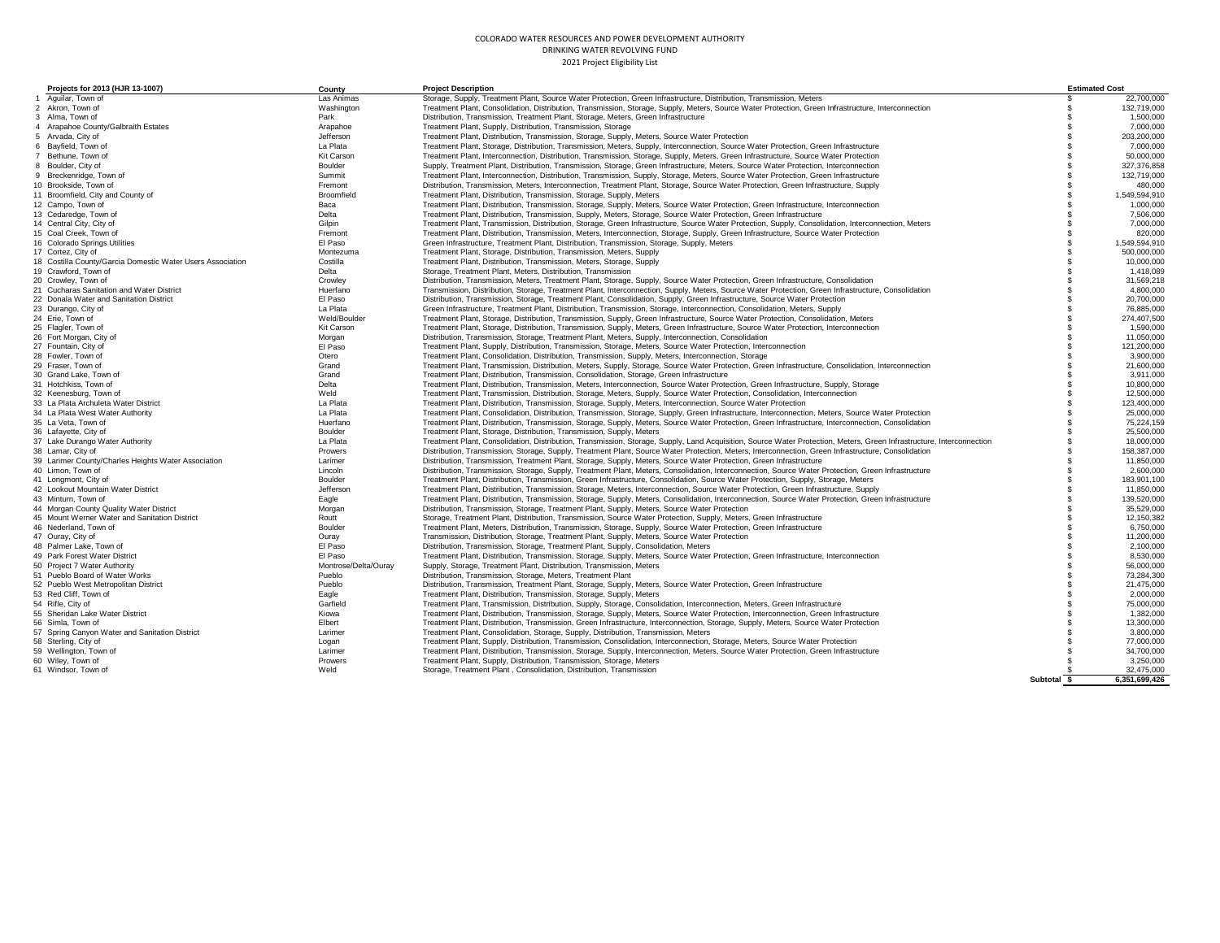| Projects for 2013 (HJR 13-1007)                                                  | County               | <b>Project Description</b>                                                                                                                                            |                | <b>Estimated Cost</b>     |
|----------------------------------------------------------------------------------|----------------------|-----------------------------------------------------------------------------------------------------------------------------------------------------------------------|----------------|---------------------------|
| 1 Aquilar, Town of                                                               | Las Animas           | Storage, Supply, Treatment Plant, Source Water Protection, Green Infrastructure, Distribution, Transmission, Meters                                                   | R              | 22,700,000                |
| 2 Akron, Town of                                                                 | Washington           | Treatment Plant, Consolidation, Distribution, Transmission, Storage, Supply, Meters, Source Water Protection, Green Infrastructure, Interconnection                   | £.             | 132,719,000               |
| 3 Alma, Town of                                                                  | Park                 | Distribution, Transmission, Treatment Plant, Storage, Meters, Green Infrastructure                                                                                    | S              | 1,500,000                 |
| 4 Arapahoe County/Galbraith Estates                                              | Arapahoe             | Treatment Plant, Supply, Distribution, Transmission, Storage                                                                                                          | $\mathfrak{F}$ | 7,000,000                 |
| 5 Arvada, City of                                                                | Jefferson            | Treatment Plant, Distribution, Transmission, Storage, Supply, Meters, Source Water Protection                                                                         | £.             | 203,200,000               |
| 6 Bayfield, Town of                                                              | La Plata             | Treatment Plant, Storage, Distribution, Transmission, Meters, Supply, Interconnection, Source Water Protection, Green Infrastructure                                  | £.             | 7.000.000                 |
| 7 Bethune, Town of                                                               | Kit Carson           | Treatment Plant, Interconnection, Distribution, Transmission, Storage, Supply, Meters, Green Infrastructure, Source Water Protection                                  | £.             | 50,000,000                |
| 8 Boulder, City of                                                               | Boulder              | Supply, Treatment Plant, Distribution, Transmission, Storage, Green Infrastructure, Meters, Source Water Protection, Interconnection                                  | \$             | 327,376,858               |
| 9 Breckenridge, Town of                                                          | Summit               | Treatment Plant, Interconnection, Distribution, Transmission, Supply, Storage, Meters, Source Water Protection, Green Infrastructure                                  | \$.            | 132.719.000               |
| 10 Brookside, Town of                                                            | Fremont              | Distribution, Transmission, Meters, Interconnection, Treatment Plant, Storage, Source Water Protection, Green Infrastructure, Supply                                  | \$.            | 480,000                   |
| 11 Broomfield, City and County of                                                | Broomfield           | Treatment Plant, Distribution, Transmission, Storage, Supply, Meters                                                                                                  | £.             | 1,549,594,910             |
| 12 Campo, Town of                                                                | Baca                 | Treatment Plant, Distribution, Transmission, Storage, Supply, Meters, Source Water Protection, Green Infrastructure, Interconnection                                  |                | 1.000.000                 |
| 13 Cedaredge, Town of                                                            | Delta                | Treatment Plant, Distribution, Transmission, Supply, Meters, Storage, Source Water Protection, Green Infrastructure                                                   | £.             | 7,506,000                 |
| 14 Central City, City of                                                         | Gilpin               | Treatment Plant, Transmission, Distribution, Storage, Green Infrastructure, Source Water Protection, Supply, Consolidation, Interconnection, Meters                   | £.             | 7.000.000                 |
| 15 Coal Creek, Town of                                                           | Fremont              | Treatment Plant, Distribution, Transmission, Meters, Interconnection, Storage, Supply, Green Infrastructure, Source Water Protection                                  | £.             | 820,000                   |
|                                                                                  | El Paso              |                                                                                                                                                                       |                |                           |
| 16 Colorado Springs Utilities                                                    | Montezuma            | Green Infrastructure, Treatment Plant, Distribution, Transmission, Storage, Supply, Meters                                                                            |                | 1,549,594,910             |
| 17 Cortez, City of<br>18 Costilla County/Garcia Domestic Water Users Association |                      | Treatment Plant, Storage, Distribution, Transmission, Meters, Supply                                                                                                  |                | 500,000,000<br>10.000.000 |
|                                                                                  | Costilla             | Treatment Plant, Distribution, Transmission, Meters, Storage, Supply                                                                                                  |                |                           |
| 19 Crawford, Town of                                                             | Delta                | Storage, Treatment Plant, Meters, Distribution, Transmission                                                                                                          |                | 1.418.089                 |
| 20 Crowley, Town of                                                              | Crowley              | Distribution, Transmission, Meters, Treatment Plant, Storage, Supply, Source Water Protection, Green Infrastructure, Consolidation                                    |                | 31,569,218                |
| 21 Cucharas Sanitation and Water District                                        | Huerfano             | Transmission, Distribution, Storage, Treatment Plant, Interconnection, Supply, Meters, Source Water Protection, Green Infrastructure, Consolidation                   |                | 4.800.000                 |
| 22 Donala Water and Sanitation District                                          | El Paso              | Distribution, Transmission, Storage, Treatment Plant, Consolidation, Supply, Green Infrastructure, Source Water Protection                                            |                | 20,700,000                |
| 23 Durango, City of                                                              | La Plata             | Green Infrastructure, Treatment Plant, Distribution, Transmission, Storage, Interconnection, Consolidation, Meters, Supply                                            |                | 76,885,000                |
| 24 Erie, Town of                                                                 | Weld/Boulder         | Treatment Plant, Storage, Distribution, Transmission, Supply, Green Infrastructure, Source Water Protection, Consolidation, Meters                                    |                | 274,407,500               |
| 25 Flagler, Town of                                                              | Kit Carson           | Treatment Plant, Storage, Distribution, Transmission, Supply, Meters, Green Infrastructure, Source Water Protection, Interconnection                                  |                | 1.590.000                 |
| 26 Fort Morgan, City of                                                          | Morgan               | Distribution, Transmission, Storage, Treatment Plant, Meters, Supply, Interconnection, Consolidation                                                                  | £.             | 11,050,000                |
| 27 Fountain, City of                                                             | El Paso              | Treatment Plant, Supply, Distribution, Transmission, Storage, Meters, Source Water Protection, Interconnection                                                        |                | 121,200,000               |
| 28 Fowler, Town of                                                               | Otero                | Treatment Plant, Consolidation, Distribution, Transmission, Supply, Meters, Interconnection, Storage                                                                  |                | 3.900.000                 |
| 29 Fraser, Town of                                                               | Grand                | Treatment Plant, Transmission, Distribution, Meters, Supply, Storage, Source Water Protection, Green Infrastructure, Consolidation, Interconnection                   |                | 21.600.000                |
| 30 Grand Lake, Town of                                                           | Grand                | Treatment Plant, Distribution, Transmission, Consolidation, Storage, Green Infrastructure                                                                             |                | 3,911,000                 |
| 31 Hotchkiss, Town of                                                            | Delta                | Treatment Plant, Distribution, Transmission, Meters, Interconnection, Source Water Protection, Green Infrastructure, Supply, Storage                                  | £.             | 10,800,000                |
| 32 Keenesburg, Town of                                                           | Weld                 | Treatment Plant, Transmission, Distribution, Storage, Meters, Supply, Source Water Protection, Consolidation, Interconnection                                         | \$.            | 12,500,000                |
| 33 La Plata Archuleta Water District                                             | La Plata             | Treatment Plant, Distribution, Transmission, Storage, Supply, Meters, Interconnection, Source Water Protection                                                        | £.             | 123,400,000               |
| 34 La Plata West Water Authority                                                 | La Plata             | Treatment Plant, Consolidation, Distribution, Transmission, Storage, Supply, Green Infrastructure, Interconnection, Meters, Source Water Protection                   | £.             | 25,000,000                |
| 35 La Veta, Town of                                                              | Huerfano             | Treatment Plant, Distribution, Transmission, Storage, Supply, Meters, Source Water Protection, Green Infrastructure, Interconnection, Consolidation                   | £.             | 75.224.159                |
| 36 Lafayette, City of                                                            | Boulder              | Treatment Plant, Storage, Distribution, Transmission, Supply, Meters                                                                                                  | £.             | 25,500,000                |
| 37 Lake Durango Water Authority                                                  | La Plata             | Treatment Plant, Consolidation, Distribution, Transmission, Storage, Supply, Land Acquisition, Source Water Protection, Meters, Green Infrastructure, Interconnection | £.             | 18,000,000                |
| 38 Lamar, City of                                                                | Prowers              | Distribution, Transmission, Storage, Supply, Treatment Plant, Source Water Protection, Meters, Interconnection, Green Infrastructure, Consolidation                   | \$.            | 158,387,000               |
| 39 Larimer County/Charles Heights Water Association                              | Larimer              | Distribution, Transmission, Treatment Plant, Storage, Supply, Meters, Source Water Protection, Green Infrastructure                                                   | \$.            | 11,850,000                |
| 40 Limon. Town of                                                                | Lincoln              | Distribution, Transmission, Storage, Supply, Treatment Plant, Meters, Consolidation, Interconnection, Source Water Protection, Green Infrastructure                   |                | 2.600.000                 |
| 41 Longmont, City of                                                             | Boulder              | Treatment Plant, Distribution, Transmission, Green Infrastructure, Consolidation, Source Water Protection, Supply, Storage, Meters                                    | £.             | 183,901,100               |
| 42 Lookout Mountain Water District                                               | Jefferson            | Treatment Plant, Distribution, Transmission, Storage, Meters, Interconnection, Source Water Protection, Green Infrastructure, Supply                                  | \$             | 11,850,000                |
| 43 Minturn, Town of                                                              | Eagle                | Treatment Plant, Distribution, Transmission, Storage, Supply, Meters, Consolidation, Interconnection, Source Water Protection, Green Infrastructure                   | S              | 139,520,000               |
| 44 Morgan County Quality Water District                                          | Morgan               | Distribution, Transmission, Storage, Treatment Plant, Supply, Meters, Source Water Protection                                                                         | £.             | 35.529.000                |
| 45 Mount Werner Water and Sanitation District                                    | Routt                | Storage, Treatment Plant, Distribution, Transmission, Source Water Protection, Supply, Meters, Green Infrastructure                                                   | £.             | 12,150,382                |
| 46 Nederland, Town of                                                            | Boulder              | Treatment Plant, Meters, Distribution, Transmission, Storage, Supply, Source Water Protection, Green Infrastructure                                                   |                | 6.750.000                 |
| 47 Ouray, City of                                                                | Ourav                | Transmission, Distribution, Storage, Treatment Plant, Supply, Meters, Source Water Protection                                                                         | £.             | 11,200,000                |
| 48 Palmer Lake, Town of                                                          | El Paso              | Distribution, Transmission, Storage, Treatment Plant, Supply, Consolidation, Meters                                                                                   |                | 2,100,000                 |
| 49 Park Forest Water District                                                    | El Paso              | Treatment Plant, Distribution, Transmission, Storage, Supply, Meters, Source Water Protection, Green Infrastructure, Interconnection                                  | S              | 8,530,000                 |
| 50 Project 7 Water Authority                                                     | Montrose/Delta/Ourav | Supply, Storage, Treatment Plant, Distribution, Transmission, Meters                                                                                                  | £.             | 56,000,000                |
| 51 Pueblo Board of Water Works                                                   | Pueblo               | Distribution, Transmission, Storage, Meters, Treatment Plant                                                                                                          | £.             | 73,284,300                |
| 52 Pueblo West Metropolitan District                                             | Pueblo               | Distribution, Transmission, Treatment Plant, Storage, Supply, Meters, Source Water Protection, Green Infrastructure                                                   | £.             | 21,475,000                |
| 53 Red Cliff, Town of                                                            | Eagle                | Treatment Plant, Distribution, Transmission, Storage, Supply, Meters                                                                                                  | £.             | 2,000,000                 |
| 54 Rifle, City of                                                                | Garfield             | Treatment Plant, Transmission, Distribution, Supply, Storage, Consolidation, Interconnection, Meters, Green Infrastructure                                            | £.             | 75,000,000                |
| 55 Sheridan Lake Water District                                                  | Kiowa                | Treatment Plant, Distribution, Transmission, Storage, Supply, Meters, Source Water Protection, Interconnection, Green Infrastructure                                  | \$.            | 1,382,000                 |
| 56 Simla, Town of                                                                | Elbert               | Treatment Plant, Distribution, Transmission, Green Infrastructure, Interconnection, Storage, Supply, Meters, Source Water Protection                                  | £.             | 13,300,000                |
| 57 Spring Canvon Water and Sanitation District                                   | Larimer              | Treatment Plant, Consolidation, Storage, Supply, Distribution, Transmission, Meters                                                                                   |                | 3,800,000                 |
| 58 Sterling, City of                                                             | Logan                | Treatment Plant, Supply, Distribution, Transmission, Consolidation, Interconnection, Storage, Meters, Source Water Protection                                         | S              | 77,000,000                |
| 59 Wellington, Town of                                                           | Larimer              | Treatment Plant, Distribution, Transmission, Storage, Supply, Interconnection, Meters, Source Water Protection, Green Infrastructure                                  |                | 34,700,000                |
| 60 Wiley, Town of                                                                | Prowers              | Treatment Plant, Supply, Distribution, Transmission, Storage, Meters                                                                                                  |                | 3,250,000                 |
| 61 Windsor, Town of                                                              | Weld                 | Storage, Treatment Plant, Consolidation, Distribution, Transmission                                                                                                   |                | 32,475,000                |
|                                                                                  |                      |                                                                                                                                                                       | Subtotal \$    | 6.351.699.426             |
|                                                                                  |                      |                                                                                                                                                                       |                |                           |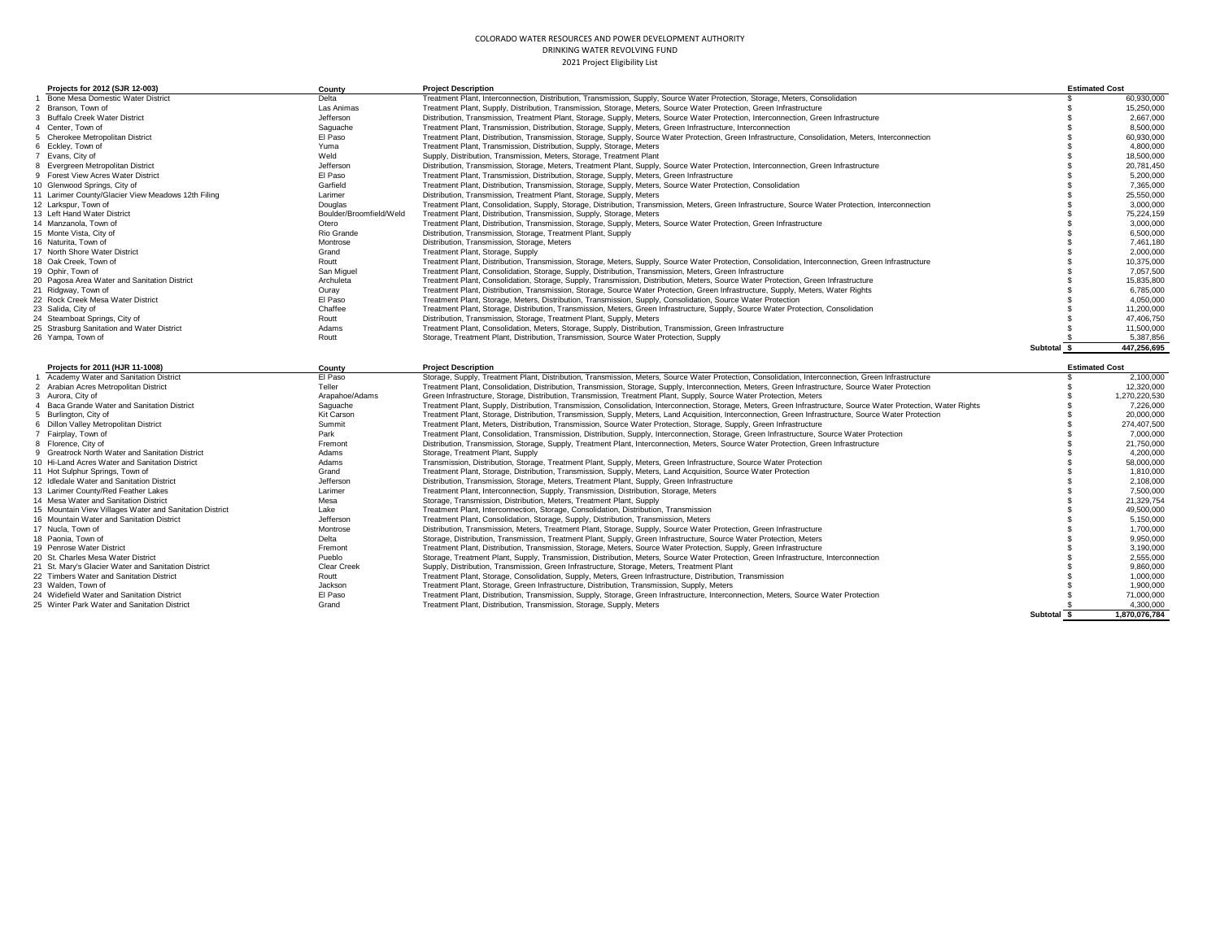| Projects for 2012 (SJR 12-003)                                                             | County                       | <b>Project Description</b>                                                                                                                                                                                   |                 | <b>Estimated Cost</b>    |
|--------------------------------------------------------------------------------------------|------------------------------|--------------------------------------------------------------------------------------------------------------------------------------------------------------------------------------------------------------|-----------------|--------------------------|
| Bone Mesa Domestic Water District                                                          | Delta                        | Treatment Plant, Interconnection, Distribution, Transmission, Supply, Source Water Protection, Storage, Meters, Consolidation                                                                                |                 | 60.930.000               |
| 2 Branson, Town of                                                                         | Las Animas                   | Treatment Plant, Supply, Distribution, Transmission, Storage, Meters, Source Water Protection, Green Infrastructure                                                                                          |                 | 15,250,000               |
| 3 Buffalo Creek Water District                                                             | Jefferson                    | Distribution, Transmission, Treatment Plant, Storage, Supply, Meters, Source Water Protection, Interconnection, Green Infrastructure                                                                         |                 | 2,667,000                |
| 4 Center, Town of                                                                          | Saguache                     | Treatment Plant, Transmission, Distribution, Storage, Supply, Meters, Green Infrastructure, Interconnection                                                                                                  |                 | 8.500.000                |
| 5 Cherokee Metropolitan District                                                           | El Paso                      | Treatment Plant, Distribution, Transmission, Storage, Supply, Source Water Protection, Green Infrastructure, Consolidation, Meters, Interconnection                                                          |                 | 60,930,000               |
| 6 Ecklev, Town of                                                                          | Yuma                         | Treatment Plant, Transmission, Distribution, Supply, Storage, Meters                                                                                                                                         |                 | 4.800.000                |
| 7 Evans, City of                                                                           | Weld                         | Supply, Distribution, Transmission, Meters, Storage, Treatment Plant                                                                                                                                         |                 | 18,500,000               |
| 8 Evergreen Metropolitan District                                                          | Jefferson                    | Distribution, Transmission, Storage, Meters, Treatment Plant, Supply, Source Water Protection, Interconnection, Green Infrastructure                                                                         |                 | 20,781,450               |
| 9 Forest View Acres Water District                                                         | El Paso                      | Treatment Plant, Transmission, Distribution, Storage, Supply, Meters, Green Infrastructure                                                                                                                   |                 | 5.200.000                |
| 10 Glenwood Springs, City of                                                               | Garfield                     | Treatment Plant, Distribution, Transmission, Storage, Supply, Meters, Source Water Protection, Consolidation                                                                                                 |                 | 7.365.000                |
| 11 Larimer County/Glacier View Meadows 12th Filing                                         | Larimer                      | Distribution, Transmission, Treatment Plant, Storage, Supply, Meters                                                                                                                                         |                 | 25,550,000               |
| 12 Larkspur, Town of                                                                       | Douglas                      | Treatment Plant, Consolidation, Supply, Storage, Distribution, Transmission, Meters, Green Infrastructure, Source Water Protection, Interconnection                                                          |                 | 3,000,000                |
| 13 Left Hand Water District                                                                | Boulder/Broomfield/Weld      | Treatment Plant, Distribution, Transmission, Supply, Storage, Meters                                                                                                                                         |                 | 75.224.159               |
| 14 Manzanola, Town of                                                                      | Otero                        | Treatment Plant, Distribution, Transmission, Storage, Supply, Meters, Source Water Protection, Green Infrastructure                                                                                          |                 | 3.000.000                |
| 15 Monte Vista, City of                                                                    | Rio Grande                   | Distribution, Transmission, Storage, Treatment Plant, Supply                                                                                                                                                 |                 | 6,500,000                |
| 16 Naturita, Town of                                                                       | Montrose                     | Distribution, Transmission, Storage, Meters                                                                                                                                                                  |                 | 7.461.180                |
| 17 North Shore Water District                                                              | Grand                        | Treatment Plant, Storage, Supply                                                                                                                                                                             |                 | 2,000,000                |
| 18 Oak Creek, Town of                                                                      | Routt                        | Treatment Plant, Distribution, Transmission, Storage, Meters, Supply, Source Water Protection, Consolidation, Interconnection, Green Infrastructure                                                          |                 | 10,375,000               |
| 19 Ophir. Town of                                                                          | San Miguel                   | Treatment Plant, Consolidation, Storage, Supply, Distribution, Transmission, Meters, Green Infrastructure                                                                                                    |                 | 7.057.500                |
| 20 Pagosa Area Water and Sanitation District                                               | Archuleta                    | Treatment Plant, Consolidation, Storage, Supply, Transmission, Distribution, Meters, Source Water Protection, Green Infrastructure                                                                           |                 | 15.835.800               |
| 21 Ridgway, Town of                                                                        | Ouray                        | Treatment Plant, Distribution, Transmission, Storage, Source Water Protection, Green Infrastructure, Supply, Meters, Water Rights                                                                            |                 | 6,785,000                |
| 22 Rock Creek Mesa Water District                                                          | El Paso                      |                                                                                                                                                                                                              |                 | 4,050,000                |
|                                                                                            |                              | Treatment Plant, Storage, Meters, Distribution, Transmission, Supply, Consolidation, Source Water Protection                                                                                                 |                 |                          |
| 23 Salida, City of                                                                         | Chaffee                      | Treatment Plant, Storage, Distribution, Transmission, Meters, Green Infrastructure, Supply, Source Water Protection, Consolidation                                                                           |                 | 11.200.000<br>47.406.750 |
| 24 Steamboat Springs, City of                                                              | Routt<br>Adams               | Distribution, Transmission, Storage, Treatment Plant, Supply, Meters                                                                                                                                         |                 |                          |
| 25 Strasburg Sanitation and Water District                                                 |                              | Treatment Plant, Consolidation, Meters, Storage, Supply, Distribution, Transmission, Green Infrastructure                                                                                                    |                 | 11,500,000               |
| 26 Yampa, Town of                                                                          | Routt                        | Storage, Treatment Plant, Distribution, Transmission, Source Water Protection, Supply                                                                                                                        | <b>Subtotal</b> | 5,387,856<br>447,256,695 |
|                                                                                            |                              |                                                                                                                                                                                                              |                 |                          |
|                                                                                            |                              |                                                                                                                                                                                                              |                 |                          |
| Projects for 2011 (HJR 11-1008)                                                            | County                       | <b>Project Description</b>                                                                                                                                                                                   |                 | <b>Estimated Cost</b>    |
| 1 Academy Water and Sanitation District                                                    | El Paso                      | Storage, Supply, Treatment Plant, Distribution, Transmission, Meters, Source Water Protection, Consolidation, Interconnection, Green Infrastructure                                                          |                 | 2,100,000                |
| 2 Arabian Acres Metropolitan District                                                      | Teller                       | Treatment Plant, Consolidation, Distribution, Transmission, Storage, Supply, Interconnection, Meters, Green Infrastructure, Source Water Protection                                                          |                 | 12.320.000               |
| 3 Aurora, City of                                                                          | Arapahoe/Adams               | Green Infrastructure, Storage, Distribution, Transmission, Treatment Plant, Supply, Source Water Protection, Meters                                                                                          |                 | 1,270,220,530            |
| 4 Baca Grande Water and Sanitation District                                                | Saguache                     | Treatment Plant, Supply, Distribution, Transmission, Consolidation, Interconnection, Storage, Meters, Green Infrastructure, Source Water Protection, Water Rights                                            |                 | 7.226.000                |
| 5 Burlington, City of                                                                      | Kit Carson                   | Treatment Plant, Storage, Distribution, Transmission, Supply, Meters, Land Acquisition, Interconnection, Green Infrastructure, Source Water Protection                                                       |                 | 20,000,000               |
| 6 Dillon Valley Metropolitan District                                                      | Summit                       | Treatment Plant, Meters, Distribution, Transmission, Source Water Protection, Storage, Supply, Green Infrastructure                                                                                          |                 | 274,407,500              |
| 7 Fairplay, Town of                                                                        | Park                         | Treatment Plant, Consolidation, Transmission, Distribution, Supply, Interconnection, Storage, Green Infrastructure, Source Water Protection                                                                  |                 | 7.000.000                |
| 8 Florence, City of                                                                        | Fremont                      | Distribution, Transmission, Storage, Supply, Treatment Plant, Interconnection, Meters, Source Water Protection, Green Infrastructure                                                                         |                 | 21,750,000               |
| 9 Greatrock North Water and Sanitation District                                            | Adams                        | Storage, Treatment Plant, Supply                                                                                                                                                                             |                 | 4.200.000                |
| 10 Hi-Land Acres Water and Sanitation District                                             | Adams                        | Transmission, Distribution, Storage, Treatment Plant, Supply, Meters, Green Infrastructure, Source Water Protection                                                                                          |                 | 58,000,000               |
| 11 Hot Sulphur Springs, Town of                                                            | Grand                        | Treatment Plant, Storage, Distribution, Transmission, Supply, Meters, Land Acquisition, Source Water Protection                                                                                              |                 | 1.810.000                |
| 12 Idledale Water and Sanitation District                                                  | Jefferson                    | Distribution, Transmission, Storage, Meters, Treatment Plant, Supply, Green Infrastructure                                                                                                                   |                 | 2.108.000                |
| 13 Larimer County/Red Feather Lakes                                                        | Larimer                      | Treatment Plant, Interconnection, Supply, Transmission, Distribution, Storage, Meters                                                                                                                        |                 | 7,500,000                |
|                                                                                            |                              |                                                                                                                                                                                                              |                 |                          |
| 14 Mesa Water and Sanitation District                                                      | Mesa<br>Lake                 | Storage, Transmission, Distribution, Meters, Treatment Plant, Supply                                                                                                                                         |                 | 21,329,754<br>49,500,000 |
| 15 Mountain View Villages Water and Sanitation District                                    |                              | Treatment Plant, Interconnection, Storage, Consolidation, Distribution, Transmission                                                                                                                         |                 |                          |
| 16 Mountain Water and Sanitation District<br>17 Nucla. Town of                             | Jefferson<br>Montrose        | Treatment Plant, Consolidation, Storage, Supply, Distribution, Transmission, Meters                                                                                                                          |                 | 5,150,000                |
| 18 Paonia, Town of                                                                         | Delta                        | Distribution, Transmission, Meters, Treatment Plant, Storage, Supply, Source Water Protection, Green Infrastructure                                                                                          |                 | 1,700,000<br>9.950.000   |
| 19 Penrose Water District                                                                  | Fremont                      | Storage, Distribution, Transmission, Treatment Plant, Supply, Green Infrastructure, Source Water Protection, Meters                                                                                          |                 |                          |
|                                                                                            |                              | Treatment Plant, Distribution, Transmission, Storage, Meters, Source Water Protection, Supply, Green Infrastructure                                                                                          |                 | 3,190,000                |
| 20 St. Charles Mesa Water District<br>21 St. Mary's Glacier Water and Sanitation District  | Pueblo<br><b>Clear Creek</b> | Storage, Treatment Plant, Supply, Transmission, Distribution, Meters, Source Water Protection, Green Infrastructure, Interconnection                                                                         |                 | 2,555,000                |
| 22 Timbers Water and Sanitation District                                                   | Routt                        | Supply, Distribution, Transmission, Green Infrastructure, Storage, Meters, Treatment Plant                                                                                                                   |                 | 9,860,000<br>1.000.000   |
|                                                                                            | Jackson                      | Treatment Plant, Storage, Consolidation, Supply, Meters, Green Infrastructure, Distribution, Transmission                                                                                                    |                 |                          |
| 23 Walden, Town of                                                                         |                              | Treatment Plant, Storage, Green Infrastructure, Distribution, Transmission, Supply, Meters                                                                                                                   |                 | 1,900,000                |
| 24 Widefield Water and Sanitation District<br>25 Winter Park Water and Sanitation District | El Paso<br>Grand             | Treatment Plant, Distribution, Transmission, Supply, Storage, Green Infrastructure, Interconnection, Meters, Source Water Protection<br>Treatment Plant, Distribution, Transmission, Storage, Supply, Meters |                 | 71,000,000<br>4,300,000  |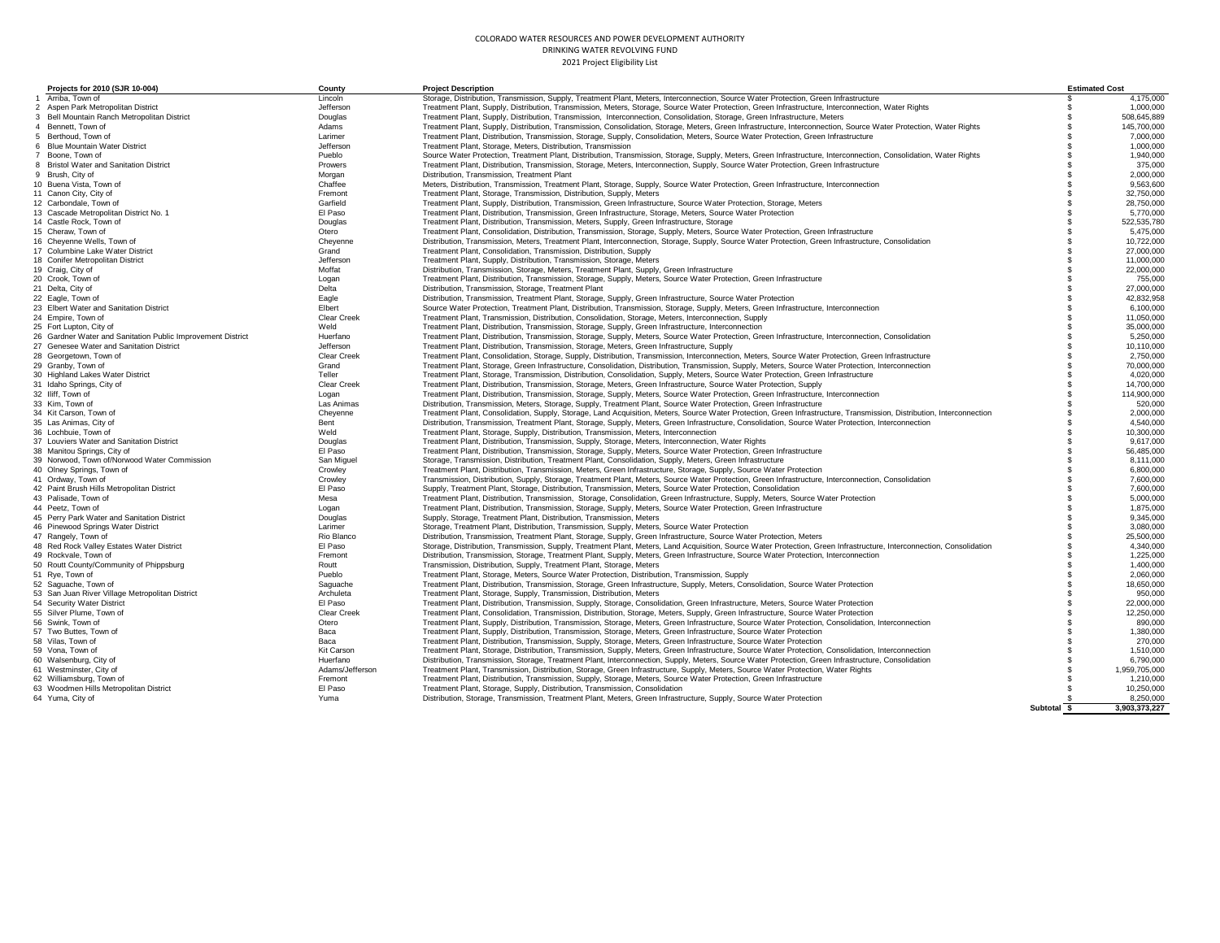| Projects for 2010 (SJR 10-004)                                   | County                | <b>Project Description</b>                                                                                                                                                                                                                                                                                    |             | <b>Estimated Cost</b>   |
|------------------------------------------------------------------|-----------------------|---------------------------------------------------------------------------------------------------------------------------------------------------------------------------------------------------------------------------------------------------------------------------------------------------------------|-------------|-------------------------|
| Arriba. Town of                                                  | Lincoln               | Storage, Distribution, Transmission, Supply, Treatment Plant, Meters, Interconnection, Source Water Protection, Green Infrastructure                                                                                                                                                                          | \$.         | 4,175,000               |
| 2 Aspen Park Metropolitan District                               | Jefferson             | Treatment Plant, Supply, Distribution, Transmission, Meters, Storage, Source Water Protection, Green Infrastructure, Interconnection, Water Rights                                                                                                                                                            |             | 1.000.000               |
| 3 Bell Mountain Ranch Metropolitan District                      | Douglas               | Treatment Plant, Supply, Distribution, Transmission, Interconnection, Consolidation, Storage, Green Infrastructure, Meters                                                                                                                                                                                    | s           | 508,645,889             |
| 4 Bennett, Town of                                               | Adams                 | Treatment Plant, Supply, Distribution, Transmission, Consolidation, Storage, Meters, Green Infrastructure, Interconnection, Source Water Protection, Water Rights                                                                                                                                             | ŗ,          | 145,700,000             |
| 5 Berthoud, Town of                                              | Larimer               | Treatment Plant, Distribution, Transmission, Storage, Supply, Consolidation, Meters, Source Water Protection, Green Infrastructure                                                                                                                                                                            |             | 7,000,000               |
| 6 Blue Mountain Water District                                   | Jefferson             | Treatment Plant, Storage, Meters, Distribution, Transmission                                                                                                                                                                                                                                                  |             | 1,000,000               |
| Boone, Town of                                                   | Pueblo                | Source Water Protection, Treatment Plant, Distribution, Transmission, Storage, Supply, Meters, Green Infrastructure, Interconnection, Consolidation, Water Rights                                                                                                                                             |             | 1,940,000               |
| 8 Bristol Water and Sanitation District                          | Prowers               | Treatment Plant, Distribution, Transmission, Storage, Meters, Interconnection, Supply, Source Water Protection, Green Infrastructure                                                                                                                                                                          |             | 375,000                 |
| 9 Brush, City of                                                 | Morgan                | Distribution, Transmission, Treatment Plant                                                                                                                                                                                                                                                                   |             | 2,000,000               |
| 10 Buena Vista, Town of                                          | Chaffee               | Meters, Distribution, Transmission, Treatment Plant, Storage, Supply, Source Water Protection, Green Infrastructure, Interconnection                                                                                                                                                                          |             | 9,563,600               |
| 11 Canon City, City of                                           | Fremont               | Treatment Plant, Storage, Transmission, Distribution, Supply, Meters                                                                                                                                                                                                                                          |             | 32,750,000              |
| 12 Carbondale, Town of                                           | Garfield              | Treatment Plant, Supply, Distribution, Transmission, Green Infrastructure, Source Water Protection, Storage, Meters                                                                                                                                                                                           |             | 28,750,000              |
| 13 Cascade Metropolitan District No. 1                           | El Paso               | Treatment Plant, Distribution, Transmission, Green Infrastructure, Storage, Meters, Source Water Protection                                                                                                                                                                                                   |             | 5,770,000               |
| 14 Castle Rock, Town of                                          | Douglas               | Treatment Plant, Distribution, Transmission, Meters, Supply, Green Infrastructure, Storage                                                                                                                                                                                                                    |             | 522,535,780             |
| 15 Cheraw, Town of                                               | Otero                 | Treatment Plant, Consolidation, Distribution, Transmission, Storage, Supply, Meters, Source Water Protection, Green Infrastructure                                                                                                                                                                            |             | 5,475,000               |
| 16 Cheyenne Wells, Town of                                       | Cheyenne              | Distribution, Transmission, Meters, Treatment Plant, Interconnection, Storage, Supply, Source Water Protection, Green Infrastructure, Consolidation                                                                                                                                                           |             | 10,722,000              |
| 17 Columbine Lake Water District                                 | Grand                 | Treatment Plant, Consolidation, Transmission, Distribution, Supply                                                                                                                                                                                                                                            |             | 27,000,000              |
| 18 Conifer Metropolitan District                                 | Jefferson             | Treatment Plant, Supply, Distribution, Transmission, Storage, Meters                                                                                                                                                                                                                                          |             | 11,000,000              |
| 19 Craig, City of                                                | Moffat                | Distribution, Transmission, Storage, Meters, Treatment Plant, Supply, Green Infrastructure                                                                                                                                                                                                                    |             | 22,000,000              |
| 20 Crook, Town of                                                | Logan                 | Treatment Plant, Distribution, Transmission, Storage, Supply, Meters, Source Water Protection, Green Infrastructure                                                                                                                                                                                           |             | 755,000                 |
| 21 Delta, City of                                                | Delta                 | Distribution, Transmission, Storage, Treatment Plant                                                                                                                                                                                                                                                          |             | 27,000,000              |
| 22 Eagle, Town of                                                | Eagle                 | Distribution, Transmission, Treatment Plant, Storage, Supply, Green Infrastructure, Source Water Protection                                                                                                                                                                                                   |             | 42,832,958              |
| 23 Elbert Water and Sanitation District                          | Elbert                | Source Water Protection, Treatment Plant, Distribution, Transmission, Storage, Supply, Meters, Green Infrastructure, Interconnection                                                                                                                                                                          |             | 6,100,000               |
| 24 Empire, Town of                                               | <b>Clear Creek</b>    | Treatment Plant, Transmission, Distribution, Consolidation, Storage, Meters, Interconnection, Supply                                                                                                                                                                                                          |             | 11,050,000              |
| 25 Fort Lupton, City of                                          | Weld                  | Treatment Plant, Distribution, Transmission, Storage, Supply, Green Infrastructure, Interconnection                                                                                                                                                                                                           |             | 35,000,000              |
| 26 Gardner Water and Sanitation Public Improvement District      | Huerfano              | Treatment Plant, Distribution, Transmission, Storage, Supply, Meters, Source Water Protection, Green Infrastructure, Interconnection, Consolidation                                                                                                                                                           |             | 5,250,000               |
| 27 Genesee Water and Sanitation District                         | Jefferson             | Treatment Plant, Distribution, Transmission, Storage, Meters, Green Infrastructure, Supply                                                                                                                                                                                                                    | £.          | 10,110,000              |
| 28 Georgetown, Town of                                           | <b>Clear Creek</b>    | Treatment Plant, Consolidation, Storage, Supply, Distribution, Transmission, Interconnection, Meters, Source Water Protection, Green Infrastructure                                                                                                                                                           | ŗ,          | 2.750.000               |
| 29 Granby, Town of                                               | Grand                 | Treatment Plant, Storage, Green Infrastructure, Consolidation, Distribution, Transmission, Supply, Meters, Source Water Protection, Interconnection                                                                                                                                                           | £.          | 70,000,000              |
| 30 Highland Lakes Water District                                 | Teller                | Treatment Plant, Storage, Transmission, Distribution, Consolidation, Supply, Meters, Source Water Protection, Green Infrastructure                                                                                                                                                                            |             | 4,020,000               |
| 31 Idaho Springs, City of                                        | <b>Clear Creek</b>    | Treatment Plant, Distribution, Transmission, Storage, Meters, Green Infrastructure, Source Water Protection, Supply                                                                                                                                                                                           | £.          | 14,700,000              |
| 32 Iliff, Town of                                                | Logan                 | Treatment Plant, Distribution, Transmission, Storage, Supply, Meters, Source Water Protection, Green Infrastructure, Interconnection                                                                                                                                                                          |             | 114,900,000             |
| 33 Kim, Town of                                                  | Las Animas            | Distribution, Transmission, Meters, Storage, Supply, Treatment Plant, Source Water Protection, Green Infrastructure                                                                                                                                                                                           |             | 520,000                 |
| 34 Kit Carson, Town of                                           | Cheyenne              | Treatment Plant, Consolidation, Supply, Storage, Land Acquisition, Meters, Source Water Protection, Green Infrastructure, Transmission. Distribution, Interconnection                                                                                                                                         |             | 2,000,000               |
| 35 Las Animas, City of                                           | Bent                  | Distribution, Transmission, Treatment Plant, Storage, Supply, Meters, Green Infrastructure, Consolidation, Source Water Protection, Interconnection                                                                                                                                                           |             | 4,540,000               |
| 36 Lochbuie, Town of                                             | Weld                  | Treatment Plant, Storage, Supply, Distribution, Transmission, Meters, Interconnection                                                                                                                                                                                                                         |             | 10,300,000              |
| 37 Louviers Water and Sanitation District                        | Douglas               | Treatment Plant, Distribution, Transmission, Supply, Storage, Meters, Interconnection, Water Rights                                                                                                                                                                                                           |             | 9,617,000               |
| 38 Manitou Springs, City of                                      | El Paso               | Treatment Plant, Distribution, Transmission, Storage, Supply, Meters, Source Water Protection, Green Infrastructure                                                                                                                                                                                           |             | 56.485.000              |
| 39 Norwood, Town of/Norwood Water Commission                     | San Miguel            | Storage, Transmission, Distribution, Treatment Plant, Consolidation, Supply, Meters, Green Infrastructure                                                                                                                                                                                                     |             | 8,111,000               |
| 40 Olney Springs, Town of                                        | Crowley               | Treatment Plant, Distribution, Transmission, Meters, Green Infrastructure, Storage, Supply, Source Water Protection                                                                                                                                                                                           |             | 6,800,000               |
| 41 Ordway, Town of                                               | Crowley               | Transmission, Distribution, Supply, Storage, Treatment Plant, Meters, Source Water Protection, Green Infrastructure, Interconnection, Consolidation                                                                                                                                                           |             | 7,600,000               |
| 42 Paint Brush Hills Metropolitan District                       | El Paso               | Supply, Treatment Plant, Storage, Distribution, Transmission, Meters, Source Water Protection, Consolidation                                                                                                                                                                                                  |             | 7,600,000               |
| 43 Palisade, Town of                                             | Mesa                  | Treatment Plant, Distribution, Transmission, Storage, Consolidation, Green Infrastructure, Supply, Meters, Source Water Protection                                                                                                                                                                            |             | 5,000,000               |
| 44 Peetz. Town of                                                | Logan                 | Treatment Plant, Distribution, Transmission, Storage, Supply, Meters, Source Water Protection, Green Infrastructure                                                                                                                                                                                           |             | 1,875,000<br>9,345,000  |
| 45 Perry Park Water and Sanitation District                      | Douglas               | Supply, Storage, Treatment Plant, Distribution, Transmission, Meters                                                                                                                                                                                                                                          |             |                         |
| 46 Pinewood Springs Water District                               | Larimer<br>Rio Blanco | Storage, Treatment Plant, Distribution, Transmission, Supply, Meters, Source Water Protection                                                                                                                                                                                                                 |             | 3,080,000<br>25,500,000 |
| 47 Rangely, Town of<br>48 Red Rock Valley Estates Water District | El Paso               | Distribution, Transmission, Treatment Plant, Storage, Supply, Green Infrastructure, Source Water Protection, Meters                                                                                                                                                                                           |             | 4,340,000               |
| 49 Rockvale, Town of                                             | Fremont               | Storage, Distribution, Transmission, Supply, Treatment Plant, Meters, Land Acquisition, Source Water Protection, Green Infrastructure, Interconnection, Consolidation<br>Distribution, Transmission, Storage, Treatment Plant, Supply, Meters, Green Infrastructure, Source Water Protection, Interconnection |             | 1,225,000               |
| 50 Routt County/Community of Phippsburg                          | Routt                 | Transmission, Distribution, Supply, Treatment Plant, Storage, Meters                                                                                                                                                                                                                                          |             | 1,400,000               |
| 51 Rye, Town of                                                  | Pueblo                | Treatment Plant, Storage, Meters, Source Water Protection, Distribution, Transmission, Supply                                                                                                                                                                                                                 |             | 2,060,000               |
| 52 Saguache, Town of                                             | Saguache              | Treatment Plant, Distribution, Transmission, Storage, Green Infrastructure, Supply, Meters, Consolidation, Source Water Protection                                                                                                                                                                            |             | 18.650.000              |
| 53 San Juan River Village Metropolitan District                  | Archuleta             | Treatment Plant, Storage, Supply, Transmission, Distribution, Meters                                                                                                                                                                                                                                          |             | 950,000                 |
| 54 Security Water District                                       | El Paso               | Treatment Plant, Distribution, Transmission, Supply, Storage, Consolidation, Green Infrastructure, Meters, Source Water Protection                                                                                                                                                                            |             | 22,000,000              |
| 55 Silver Plume, Town of                                         | <b>Clear Creek</b>    | Treatment Plant, Consolidation, Transmission, Distribution, Storage, Meters, Supply, Green Infrastructure, Source Water Protection                                                                                                                                                                            |             | 12.250.000              |
| 56 Swink, Town of                                                | Otero                 | Treatment Plant, Supply, Distribution, Transmission, Storage, Meters, Green Infrastructure, Source Water Protection, Consolidation, Interconnection                                                                                                                                                           |             | 890,000                 |
| 57 Two Buttes, Town of                                           | Baca                  | Treatment Plant, Supply, Distribution, Transmission, Storage, Meters, Green Infrastructure, Source Water Protection                                                                                                                                                                                           |             | 1,380,000               |
| 58 Vilas, Town of                                                | Baca                  | Treatment Plant, Distribution, Transmission, Supply, Storage, Meters, Green Infrastructure, Source Water Protection                                                                                                                                                                                           |             | 270,000                 |
| 59 Vona, Town of                                                 | Kit Carson            | Treatment Plant, Storage, Distribution, Transmission, Supply, Meters, Green Infrastructure, Source Water Protection, Consolidation, Interconnection                                                                                                                                                           |             | 1,510,000               |
| 60 Walsenburg, City of                                           | Huerfano              | Distribution, Transmission, Storage, Treatment Plant, Interconnection, Supply, Meters, Source Water Protection, Green Infrastructure, Consolidation                                                                                                                                                           |             | 6,790,000               |
| 61 Westminster, City of                                          | Adams/Jefferson       | Treatment Plant, Transmission, Distribution, Storage, Green Infrastructure, Supply, Meters, Source Water Protection, Water Rights                                                                                                                                                                             |             | 1,959,705,000           |
| 62 Williamsburg, Town of                                         | Fremont               | Treatment Plant, Distribution, Transmission, Supply, Storage, Meters, Source Water Protection, Green Infrastructure                                                                                                                                                                                           |             | 1,210,000               |
| 63 Woodmen Hills Metropolitan District                           | El Paso               | Treatment Plant, Storage, Supply, Distribution, Transmission, Consolidation                                                                                                                                                                                                                                   |             | 10,250,000              |
| 64 Yuma, City of                                                 | Yuma                  | Distribution, Storage, Transmission, Treatment Plant, Meters, Green Infrastructure, Supply, Source Water Protection                                                                                                                                                                                           |             | 8.250.000               |
|                                                                  |                       |                                                                                                                                                                                                                                                                                                               | Subtotal \$ | 3,903,373,227           |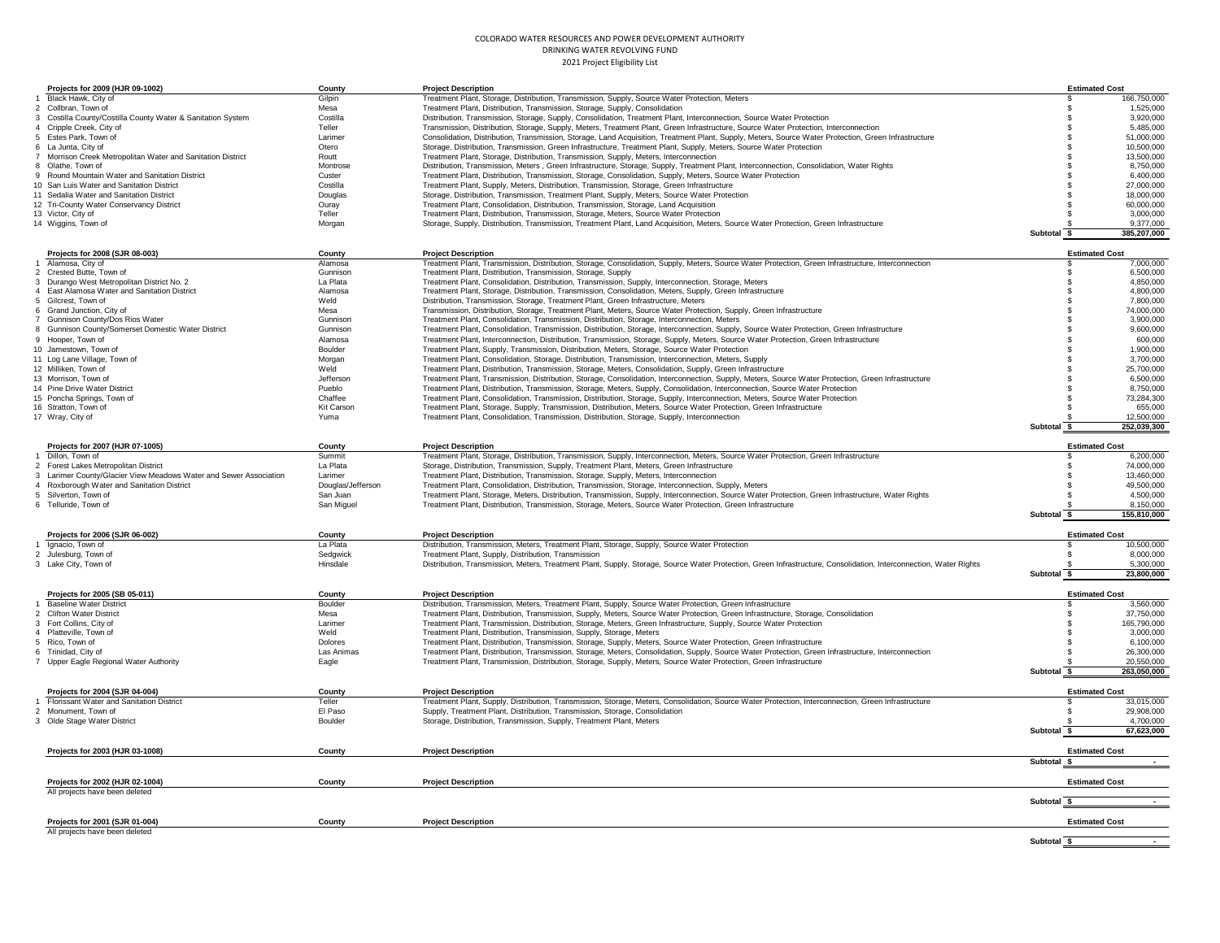| Projects for 2009 (HJR 09-1002)                                   | County            | <b>Project Description</b>                                                                                                                                        |                       | <b>Estimated Cost</b>      |
|-------------------------------------------------------------------|-------------------|-------------------------------------------------------------------------------------------------------------------------------------------------------------------|-----------------------|----------------------------|
| Black Hawk, City of                                               | Gilpin            | Treatment Plant, Storage, Distribution, Transmission, Supply, Source Water Protection, Meters                                                                     |                       | 166,750,000<br>S.          |
| 2 Collbran, Town of                                               | Mesa              | Treatment Plant, Distribution, Transmission, Storage, Supply, Consolidation                                                                                       |                       | 1,525,000<br>$\mathbf{f}$  |
| 3 Costilla County/Costilla County Water & Sanitation System       | Costilla          | Distribution, Transmission, Storage, Supply, Consolidation, Treatment Plant, Interconnection, Source Water Protection                                             |                       | 3,920,000<br>-S            |
| 4 Cripple Creek, City of                                          | Teller            | Transmission, Distribution, Storage, Supply, Meters, Treatment Plant, Green Infrastructure, Source Water Protection, Interconnection                              |                       | 5,485,000                  |
| 5 Estes Park, Town of                                             | Larimer           | Consolidation, Distribution, Transmission, Storage, Land Acquisition, Treatment Plant, Supply, Meters, Source Water Protection, Green Infrastructure              |                       | 51,000,000                 |
| 6 La Junta, City of                                               | Otero             | Storage, Distribution, Transmission, Green Infrastructure, Treatment Plant, Supply, Meters, Source Water Protection                                               |                       | 10,500,000                 |
| 7 Morrison Creek Metropolitan Water and Sanitation District       | Routt             | Treatment Plant, Storage, Distribution, Transmission, Supply, Meters, Interconnection                                                                             |                       | 13,500,000                 |
| 8 Olathe, Town of                                                 | Montrose          | Distribution, Transmission, Meters, Green Infrastructure, Storage, Supply, Treatment Plant, Interconnection, Consolidation, Water Rights                          |                       | 8,750,000                  |
| 9 Round Mountain Water and Sanitation District                    | Custer            | Treatment Plant, Distribution, Transmission, Storage, Consolidation, Supply, Meters, Source Water Protection                                                      |                       | 6,400,000                  |
|                                                                   |                   |                                                                                                                                                                   |                       |                            |
| 10 San Luis Water and Sanitation District                         | Costilla          | Treatment Plant, Supply, Meters, Distribution, Transmission, Storage, Green Infrastructure                                                                        |                       | 27,000,000                 |
| 11 Sedalia Water and Sanitation District                          | Douglas           | Storage, Distribution, Transmission, Treatment Plant, Supply, Meters, Source Water Protection                                                                     |                       | 18,000,000                 |
| 12 Tri-County Water Conservancy District                          | Ouray             | Treatment Plant, Consolidation, Distribution, Transmission, Storage, Land Acquisition                                                                             |                       | 60.000.000                 |
| 13 Victor, City of                                                | Teller            | Treatment Plant, Distribution, Transmission, Storage, Meters, Source Water Protection                                                                             |                       | 3,000,000                  |
| 14 Wiggins, Town of                                               | Morgan            | Storage, Supply, Distribution, Transmission, Treatment Plant, Land Acquisition, Meters, Source Water Protection, Green Infrastructure                             |                       | 9,377,000                  |
|                                                                   |                   |                                                                                                                                                                   | Subtotal              | 385,207,000<br>-S          |
|                                                                   |                   |                                                                                                                                                                   |                       |                            |
| Projects for 2008 (SJR 08-003)                                    | County            | <b>Project Description</b>                                                                                                                                        |                       | <b>Estimated Cost</b>      |
| 1 Alamosa, City of                                                | Alamosa           | Treatment Plant, Transmission, Distribution, Storage, Consolidation, Supply, Meters, Source Water Protection, Green Infrastructure, Interconnection               |                       | 7,000,000                  |
| 2 Crested Butte, Town of                                          | Gunnison          | Treatment Plant, Distribution, Transmission, Storage, Supply                                                                                                      |                       | 6,500,000                  |
| 3 Durango West Metropolitan District No. 2                        | La Plata          | Treatment Plant, Consolidation, Distribution, Transmission, Supply, Interconnection, Storage, Meters                                                              |                       | 4,850,000                  |
| 4 East Alamosa Water and Sanitation District                      | Alamosa           | Treatment Plant, Storage, Distribution, Transmission, Consolidation, Meters, Supply, Green Infrastructure                                                         |                       | 4,800,000<br>-8            |
| 5 Gilcrest, Town of                                               | Weld              | Distribution, Transmission, Storage, Treatment Plant, Green Infrastructure, Meters                                                                                |                       | 7,800,000                  |
| 6 Grand Junction, City of                                         | Mesa              | Transmission, Distribution, Storage, Treatment Plant, Meters, Source Water Protection, Supply, Green Infrastructure                                               |                       | 74,000,000                 |
| 7 Gunnison County/Dos Rios Water                                  | Gunnisor          | Treatment Plant, Consolidation, Transmission, Distribution, Storage, Interconnection, Meters                                                                      |                       | 3,900,000                  |
| 8 Gunnison County/Somerset Domestic Water District                | Gunnisor          | Treatment Plant, Consolidation, Transmission, Distribution, Storage, Interconnection, Supply, Source Water Protection, Green Infrastructure                       |                       | 9,600,000                  |
| 9 Hooper, Town of                                                 | Alamosa           | Treatment Plant, Interconnection, Distribution, Transmission, Storage, Supply, Meters, Source Water Protection, Green Infrastructure                              |                       | 600,000                    |
| 10 Jamestown, Town of                                             | Boulder           | Treatment Plant, Supply, Transmission, Distribution, Meters, Storage, Source Water Protection                                                                     |                       | 1,900,000                  |
| 11 Log Lane Village, Town of                                      | Morgan            | Treatment Plant, Consolidation, Storage, Distribution, Transmission, Interconnection, Meters, Supply                                                              |                       | 3,700,000                  |
| 12 Milliken, Town of                                              | Weld              | Treatment Plant, Distribution, Transmission, Storage, Meters, Consolidation, Supply, Green Infrastructure                                                         |                       | 25,700,000                 |
|                                                                   |                   |                                                                                                                                                                   |                       | 6,500,000                  |
| 13 Morrison, Town of                                              | Jefferson         | Treatment Plant, Transmission, Distribution, Storage, Consolidation, Interconnection, Supply, Meters, Source Water Protection, Green Infrastructure               |                       |                            |
| 14 Pine Drive Water District                                      | Pueblo            | Treatment Plant, Distribution, Transmission, Storage, Meters, Supply, Consolidation, Interconnection, Source Water Protection                                     |                       | 8,750,000                  |
| 15 Poncha Springs, Town of                                        | Chaffee           | Treatment Plant, Consolidation, Transmission, Distribution, Storage, Supply, Interconnection, Meters, Source Water Protection                                     |                       | 73,284,300                 |
| 16 Stratton, Town of                                              | Kit Carson        | Treatment Plant, Storage, Supply, Transmission, Distribution, Meters, Source Water Protection, Green Infrastructure                                               |                       | 655,000                    |
| 17 Wray, City of                                                  | Yuma              | Treatment Plant, Consolidation, Transmission, Distribution, Storage, Supply, Interconnection                                                                      |                       | 12,500,000                 |
|                                                                   |                   |                                                                                                                                                                   | Subtotal \$           | 252,039,300                |
|                                                                   |                   |                                                                                                                                                                   |                       |                            |
| Projects for 2007 (HJR 07-1005)                                   | County            | <b>Project Description</b>                                                                                                                                        |                       | <b>Estimated Cost</b>      |
| 1 Dillon, Town of                                                 | Summit            | Treatment Plant, Storage, Distribution, Transmission, Supply, Interconnection, Meters, Source Water Protection, Green Infrastructure                              |                       | 6,200,000                  |
| 2 Forest Lakes Metropolitan District                              | La Plata          | Storage, Distribution, Transmission, Supply, Treatment Plant, Meters, Green Infrastructure                                                                        |                       | 74,000,000                 |
| 3 Larimer County/Glacier View Meadows Water and Sewer Association | Larimer           | Treatment Plant, Distribution, Transmission, Storage, Supply, Meters, Interconnection                                                                             |                       | 13,460,000                 |
| 4 Roxborough Water and Sanitation District                        | Douglas/Jefferson | Treatment Plant, Consolidation, Distribution, Transmission, Storage, Interconnection, Supply, Meters                                                              |                       | 49,500,000<br>$\mathbf{f}$ |
| 5 Silverton, Town of                                              | San Juan          | Treatment Plant, Storage, Meters, Distribution, Transmission, Supply, Interconnection, Source Water Protection, Green Infrastructure, Water Rights                |                       | 4,500,000<br>$\mathbf{f}$  |
| 6 Telluride, Town of                                              | San Miguel        | Treatment Plant, Distribution, Transmission, Storage, Meters, Source Water Protection, Green Infrastructure                                                       |                       | 8,150,000                  |
|                                                                   |                   |                                                                                                                                                                   | Subtotal              | 155.810.000<br>-S          |
|                                                                   |                   |                                                                                                                                                                   |                       |                            |
| Projects for 2006 (SJR 06-002)                                    | County            | <b>Project Description</b>                                                                                                                                        |                       | <b>Estimated Cost</b>      |
| Ignacio, Town of                                                  | La Plata          | Distribution, Transmission, Meters, Treatment Plant, Storage, Supply, Source Water Protection                                                                     |                       | 10,500,000                 |
| 2 Julesburg, Town of                                              | Sedgwick          | Treatment Plant, Supply, Distribution, Transmission                                                                                                               |                       | 8,000,000                  |
| 3 Lake City, Town of                                              | Hinsdale          | Distribution, Transmission, Meters, Treatment Plant, Supply, Storage, Source Water Protection, Green Infrastructure, Consolidation, Interconnection, Water Rights |                       | 5,300,000                  |
|                                                                   |                   |                                                                                                                                                                   | Subtotal \$           | 23,800,000                 |
|                                                                   |                   |                                                                                                                                                                   |                       |                            |
| Projects for 2005 (SB 05-011)                                     | County            | <b>Project Description</b>                                                                                                                                        |                       | <b>Estimated Cost</b>      |
| <b>Baseline Water District</b>                                    | Boulder           | Distribution, Transmission, Meters, Treatment Plant, Supply, Source Water Protection, Green Infrastructure                                                        |                       | 3,560,000<br>£.            |
| 2 Clifton Water District                                          | Mesa              | Treatment Plant, Distribution, Transmission, Supply, Meters, Source Water Protection, Green Infrastructure, Storage, Consolidation                                |                       | 37,750,000                 |
| 3 Fort Collins, City of                                           | Larimer           | Treatment Plant, Transmission, Distribution, Storage, Meters, Green Infrastructure, Supply, Source Water Protection                                               |                       | 165,790,000<br>-8          |
| 4 Platteville, Town of                                            | Meld              | Treatment Plant, Distribution, Transmission, Supply, Storage, Meters                                                                                              |                       | 3,000,000<br>-8            |
| 5 Rico. Town of                                                   | Dolores           | Treatment Plant, Distribution, Transmission, Storage, Supply, Meters, Source Water Protection, Green Infrastructure                                               |                       | 6.100.000                  |
|                                                                   |                   |                                                                                                                                                                   |                       |                            |
| 6 Trinidad, City of                                               | Las Animas        | Treatment Plant, Distribution, Transmission, Storage, Meters, Consolidation, Supply, Source Water Protection, Green Infrastructure, Interconnection               |                       | 26,300,000                 |
| Upper Eagle Regional Water Authority                              | Eagle             | Treatment Plant, Transmission, Distribution, Storage, Supply, Meters, Source Water Protection, Green Infrastructure                                               |                       | 20,550,000                 |
|                                                                   |                   |                                                                                                                                                                   | Subtotal              | 263,050,000<br>- \$        |
|                                                                   |                   |                                                                                                                                                                   |                       |                            |
| Projects for 2004 (SJR 04-004)                                    | County            | <b>Project Description</b>                                                                                                                                        |                       | <b>Estimated Cost</b>      |
| Florissant Water and Sanitation District                          | Teller            | Treatment Plant, Supply, Distribution, Transmission, Storage, Meters, Consolidation, Source Water Protection, Interconnection, Green Infrastructure               |                       | 33,015,000                 |
| 2 Monument. Town of                                               | El Paso           | Supply, Treatment Plant, Distribution, Transmission, Storage, Consolidation                                                                                       |                       | 29,908,000<br>-8           |
| 3 Olde Stage Water District                                       | Boulder           | Storage, Distribution, Transmission, Supply, Treatment Plant, Meters                                                                                              |                       | 4,700,000                  |
|                                                                   |                   |                                                                                                                                                                   | Subtotal              | 67.623.000                 |
|                                                                   |                   |                                                                                                                                                                   |                       |                            |
| Projects for 2003 (HJR 03-1008)                                   | County            | <b>Project Description</b>                                                                                                                                        |                       | <b>Estimated Cost</b>      |
|                                                                   |                   |                                                                                                                                                                   | Subtotal \$           |                            |
|                                                                   |                   |                                                                                                                                                                   |                       |                            |
| Projects for 2002 (HJR 02-1004)                                   | County            | <b>Project Description</b>                                                                                                                                        |                       | <b>Estimated Cost</b>      |
| All projects have been deleted                                    |                   |                                                                                                                                                                   |                       |                            |
|                                                                   |                   |                                                                                                                                                                   | Subtotal \$           |                            |
|                                                                   |                   |                                                                                                                                                                   |                       |                            |
| Projects for 2001 (SJR 01-004)                                    | County            | <b>Project Description</b>                                                                                                                                        |                       | <b>Estimated Cost</b>      |
| All projects have been deleted                                    |                   |                                                                                                                                                                   |                       |                            |
|                                                                   |                   |                                                                                                                                                                   | Subtotal <sub>5</sub> |                            |